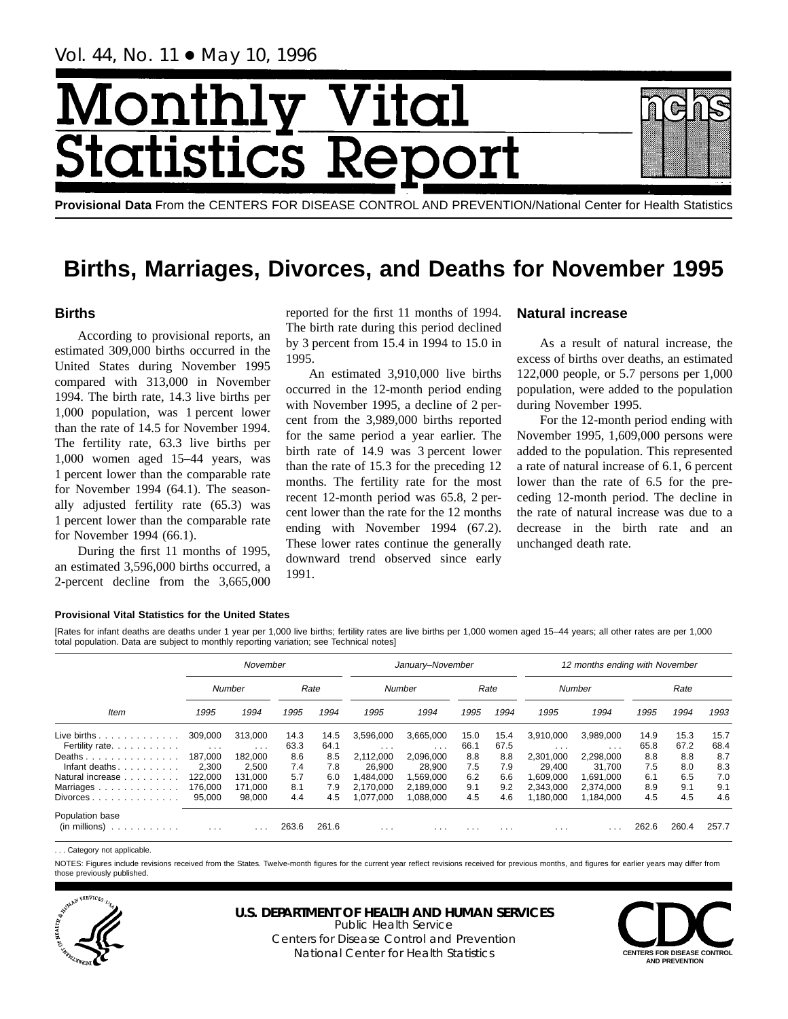Vol. 44, No. 11 ● May 10, 1996

# Month Vital tics R tatis

**Provisional Data** From the CENTERS FOR DISEASE CONTROL AND PREVENTION/National Center for Health Statistics

# **Births, Marriages, Divorces, and Deaths for November 1995**

# **Births**

According to provisional reports, an estimated 309,000 births occurred in the United States during November 1995 compared with 313,000 in November 1994. The birth rate, 14.3 live births per 1,000 population, was 1 percent lower than the rate of 14.5 for November 1994. The fertility rate, 63.3 live births per 1,000 women aged 15–44 years, was 1 percent lower than the comparable rate for November 1994 (64.1). The seasonally adjusted fertility rate (65.3) was 1 percent lower than the comparable rate for November 1994 (66.1).

During the first 11 months of 1995, an estimated 3,596,000 births occurred, a 2-percent decline from the 3,665,000 reported for the first 11 months of 1994. The birth rate during this period declined by 3 percent from 15.4 in 1994 to 15.0 in 1995.

An estimated 3,910,000 live births occurred in the 12-month period ending with November 1995, a decline of 2 percent from the 3,989,000 births reported for the same period a year earlier. The birth rate of 14.9 was 3 percent lower than the rate of 15.3 for the preceding 12 months. The fertility rate for the most recent 12-month period was 65.8, 2 percent lower than the rate for the 12 months ending with November 1994 (67.2). These lower rates continue the generally downward trend observed since early 1991.

# **Natural increase**

As a result of natural increase, the excess of births over deaths, an estimated 122,000 people, or 5.7 persons per 1,000 population, were added to the population during November 1995.

For the 12-month period ending with November 1995, 1,609,000 persons were added to the population. This represented a rate of natural increase of 6.1, 6 percent lower than the rate of 6.5 for the preceding 12-month period. The decline in the rate of natural increase was due to a decrease in the birth rate and an unchanged death rate.

### **Provisional Vital Statistics for the United States**

[Rates for infant deaths are deaths under 1 year per 1,000 live births; fertility rates are live births per 1,000 women aged 15–44 years; all other rates are per 1,000 total population. Data are subject to monthly reporting variation; see Technical notes]

|                                                           |                              | November                     |              |              |                                 | January-November                |              |                         |                                 | 12 months ending with November                 |              |              |              |
|-----------------------------------------------------------|------------------------------|------------------------------|--------------|--------------|---------------------------------|---------------------------------|--------------|-------------------------|---------------------------------|------------------------------------------------|--------------|--------------|--------------|
|                                                           |                              | Number                       |              | Rate         |                                 | Number                          |              | Rate                    |                                 | Number                                         |              | Rate         |              |
| Item                                                      | 1995                         | 1994                         | 1995         | 1994         | 1995                            | 1994                            | 1995         | 1994                    | 1995                            | 1994                                           | 1995         | 1994         | 1993         |
| Live births $\ldots$<br>Fertility rate.                   | 309,000                      | 313.000                      | 14.3<br>63.3 | 14.5<br>64.1 | 3,596,000                       | 3.665.000                       | 15.0<br>66.1 | 15.4<br>67.5            | 3.910.000                       | 3.989.000                                      | 14.9<br>65.8 | 15.3<br>67.2 | 15.7<br>68.4 |
| Deaths<br>Infant deaths.                                  | $\cdots$<br>187.000<br>2.300 | $\cdots$<br>182.000<br>2.500 | 8.6<br>7.4   | 8.5<br>7.8   | $\cdots$<br>2,112,000<br>26.900 | $\cdots$<br>2,096,000<br>28.900 | 8.8<br>7.5   | 8.8<br>7.9              | $\cdots$<br>2,301,000<br>29.400 | $\cdot$ $\cdot$ $\cdot$<br>2.298.000<br>31.700 | 8.8<br>7.5   | 8.8<br>8.0   | 8.7<br>8.3   |
| Natural increase                                          | 122.000                      | 131.000                      | 5.7          | 6.0          | .484.000                        | 1,569,000                       | 6.2          | 6.6                     | 000,000,                        | 1,691,000                                      | 6.1          | 6.5          | 7.0          |
| Marriages.<br>.<br>$Divorces \ldots \ldots \ldots \ldots$ | 176.000<br>95.000            | 171.000<br>98.000            | 8.1<br>4.4   | 7.9<br>4.5   | 2.170.000<br>1.077.000          | 2.189.000<br>1.088.000          | 9.1<br>4.5   | 9.2<br>4.6              | 2.343.000<br>.180.000           | 2.374.000<br>1.184.000                         | 8.9<br>4.5   | 9.1<br>4.5   | 9.1<br>4.6   |
| Population base<br>(in millions)<br>.                     | $\cdot$ $\cdot$ $\cdot$      | $\cdot$ $\cdot$ $\cdot$      | 263.6        | 261.6        | $\cdots$                        | $\cdot$ $\cdot$ $\cdot$         | $\cdots$     | $\cdot$ $\cdot$ $\cdot$ | $\cdots$                        |                                                | 262.6        | 260.4        | 257.7        |

. . . Category not applicable.

NOTES: Figures include revisions received from the States. Twelve-month figures for the current year reflect revisions received for previous months, and figures for earlier years may differ from those previously published.



**U.S. DEPARTMENT OF HEALTH AND HUMAN SERVICES**

Public Health Service Centers for Disease Control and Prevention National Center for Health Statistics **CENTERS FOR DISEASE CONTROL**

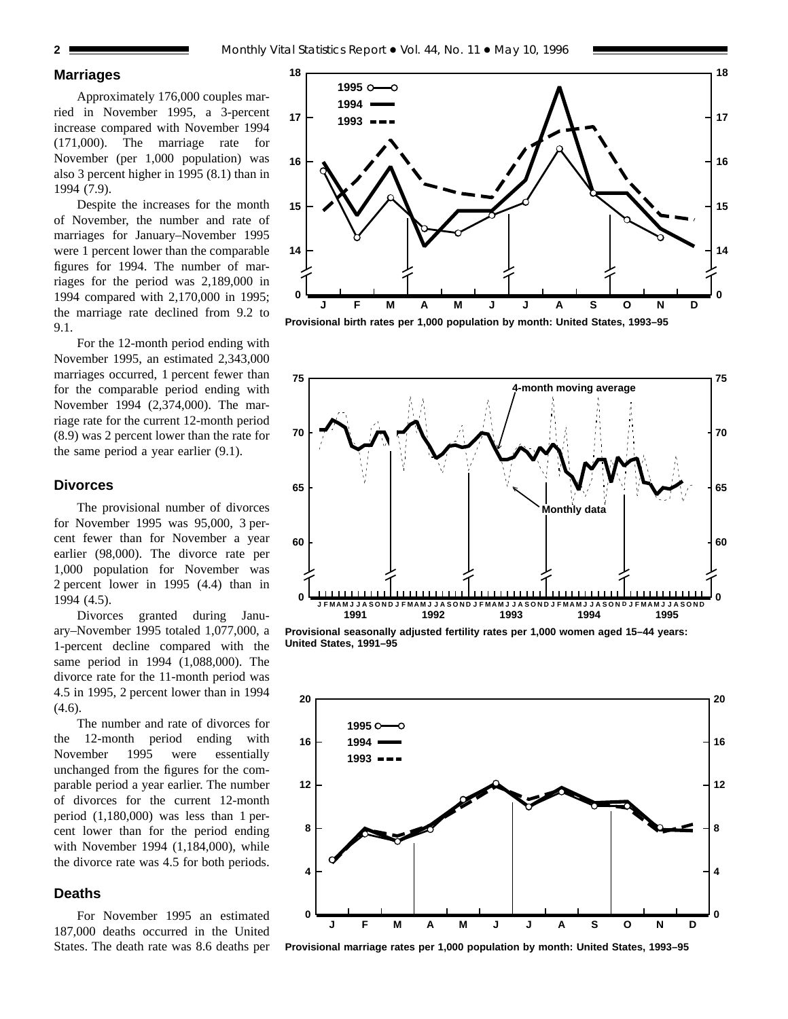# **Marriages**

Approximately 176,000 couples married in November 1995, a 3-percent increase compared with November 1994 (171,000). The marriage rate for November (per 1,000 population) was also 3 percent higher in 1995 (8.1) than in 1994 (7.9).

Despite the increases for the month of November, the number and rate of marriages for January–November 1995 were 1 percent lower than the comparable figures for 1994. The number of marriages for the period was 2,189,000 in 1994 compared with 2,170,000 in 1995; the marriage rate declined from 9.2 to 9.1.

For the 12-month period ending with November 1995, an estimated 2,343,000 marriages occurred, 1 percent fewer than for the comparable period ending with November 1994 (2,374,000). The marriage rate for the current 12-month period (8.9) was 2 percent lower than the rate for the same period a year earlier (9.1).

### **Divorces**

The provisional number of divorces for November 1995 was 95,000, 3 percent fewer than for November a year earlier (98,000). The divorce rate per 1,000 population for November was 2 percent lower in 1995 (4.4) than in 1994 (4.5).

Divorces granted during January–November 1995 totaled 1,077,000, a 1-percent decline compared with the same period in 1994 (1,088,000). The divorce rate for the 11-month period was 4.5 in 1995, 2 percent lower than in 1994  $(4.6)$ .

The number and rate of divorces for the 12-month period ending with November 1995 were essentially unchanged from the figures for the comparable period a year earlier. The number of divorces for the current 12-month period (1,180,000) was less than 1 percent lower than for the period ending with November 1994 (1,184,000), while the divorce rate was 4.5 for both periods.

# **Deaths**

For November 1995 an estimated 187,000 deaths occurred in the United States. The death rate was 8.6 deaths per



**Provisional birth rates per 1,000 population by month: United States, 1993–95**



**Provisional seasonally adjusted fertility rates per 1,000 women aged 15–44 years: United States, 1991–95**



**Provisional marriage rates per 1,000 population by month: United States, 1993–95**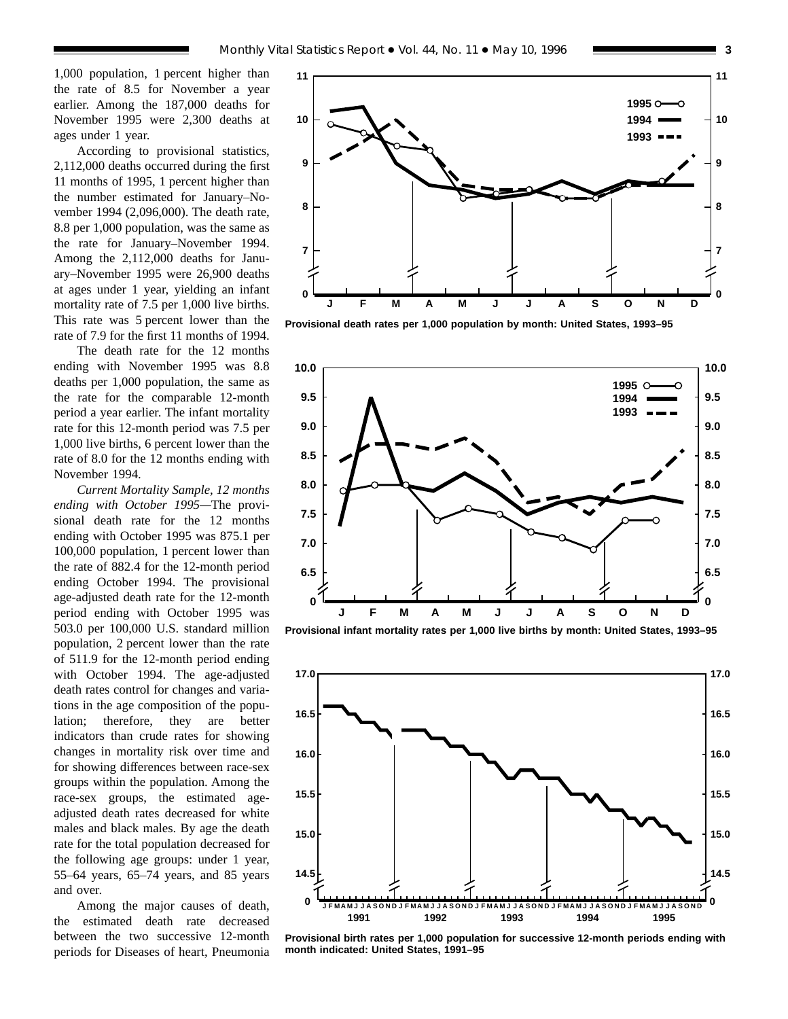1,000 population, 1 percent higher than the rate of 8.5 for November a year earlier. Among the 187,000 deaths for November 1995 were 2,300 deaths at

ages under 1 year. According to provisional statistics, 2,112,000 deaths occurred during the first 11 months of 1995, 1 percent higher than the number estimated for January–November 1994 (2,096,000). The death rate, 8.8 per 1,000 population, was the same as the rate for January–November 1994. Among the 2,112,000 deaths for January–November 1995 were 26,900 deaths at ages under 1 year, yielding an infant mortality rate of 7.5 per 1,000 live births. This rate was 5 percent lower than the rate of 7.9 for the first 11 months of 1994.

The death rate for the 12 months ending with November 1995 was 8.8 deaths per 1,000 population, the same as the rate for the comparable 12-month period a year earlier. The infant mortality rate for this 12-month period was 7.5 per 1,000 live births, 6 percent lower than the rate of 8.0 for the 12 months ending with November 1994.

*Current Mortality Sample, 12 months ending with October 1995—*The provisional death rate for the 12 months ending with October 1995 was 875.1 per 100,000 population, 1 percent lower than the rate of 882.4 for the 12-month period ending October 1994. The provisional age-adjusted death rate for the 12-month period ending with October 1995 was 503.0 per 100,000 U.S. standard million population, 2 percent lower than the rate of 511.9 for the 12-month period ending with October 1994. The age-adjusted death rates control for changes and variations in the age composition of the population; therefore, they are better indicators than crude rates for showing changes in mortality risk over time and for showing differences between race-sex groups within the population. Among the race-sex groups, the estimated ageadjusted death rates decreased for white males and black males. By age the death rate for the total population decreased for the following age groups: under 1 year, 55–64 years, 65–74 years, and 85 years and over.

Among the major causes of death, the estimated death rate decreased between the two successive 12-month periods for Diseases of heart, Pneumonia



**Provisional death rates per 1,000 population by month: United States, 1993–95**



**Provisional infant mortality rates per 1,000 live births by month: United States, 1993–95**



**Provisional birth rates per 1,000 population for successive 12-month periods ending with month indicated: United States, 1991–95**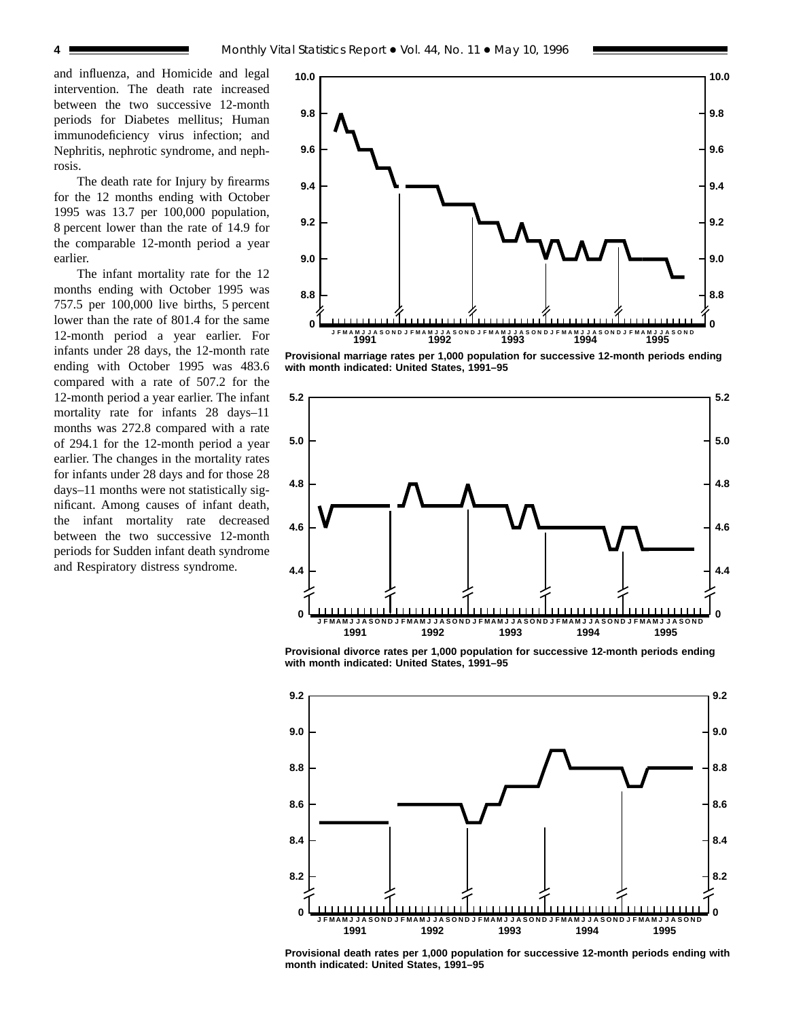and influenza, and Homicide and legal intervention. The death rate increased between the two successive 12-month periods for Diabetes mellitus; Human immunodeficiency virus infection; and Nephritis, nephrotic syndrome, and nephrosis.

The death rate for Injury by firearms for the 12 months ending with October 1995 was 13.7 per 100,000 population, 8 percent lower than the rate of 14.9 for the comparable 12-month period a year earlier.

The infant mortality rate for the 12 months ending with October 1995 was 757.5 per 100,000 live births, 5 percent lower than the rate of 801.4 for the same 12-month period a year earlier. For infants under 28 days, the 12-month rate ending with October 1995 was 483.6 compared with a rate of 507.2 for the 12-month period a year earlier. The infant mortality rate for infants 28 days–11 months was 272.8 compared with a rate of 294.1 for the 12-month period a year earlier. The changes in the mortality rates for infants under 28 days and for those 28 days–11 months were not statistically significant. Among causes of infant death, the infant mortality rate decreased between the two successive 12-month periods for Sudden infant death syndrome and Respiratory distress syndrome.



**Provisional marriage rates per 1,000 population for successive 12-month periods ending with month indicated: United States, 1991–95**



**Provisional divorce rates per 1,000 population for successive 12-month periods ending with month indicated: United States, 1991–95**



**Provisional death rates per 1,000 population for successive 12-month periods ending with month indicated: United States, 1991–95**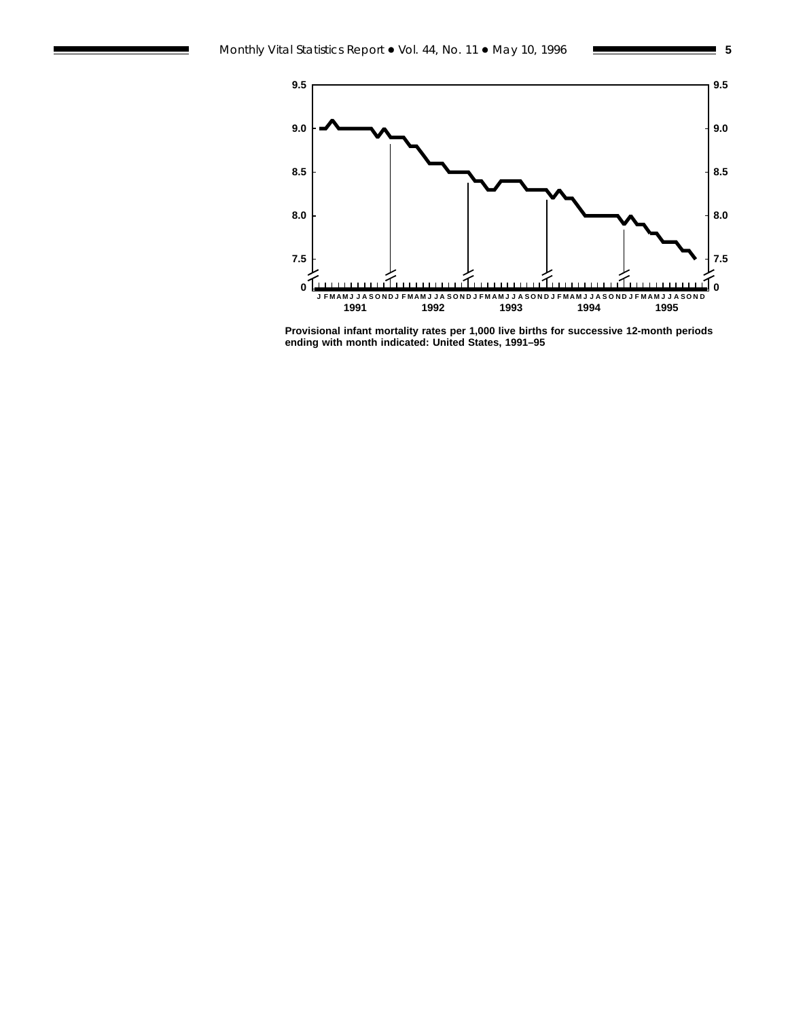

**Provisional infant mortality rates per 1,000 live births for successive 12-month periods ending with month indicated: United States, 1991–95**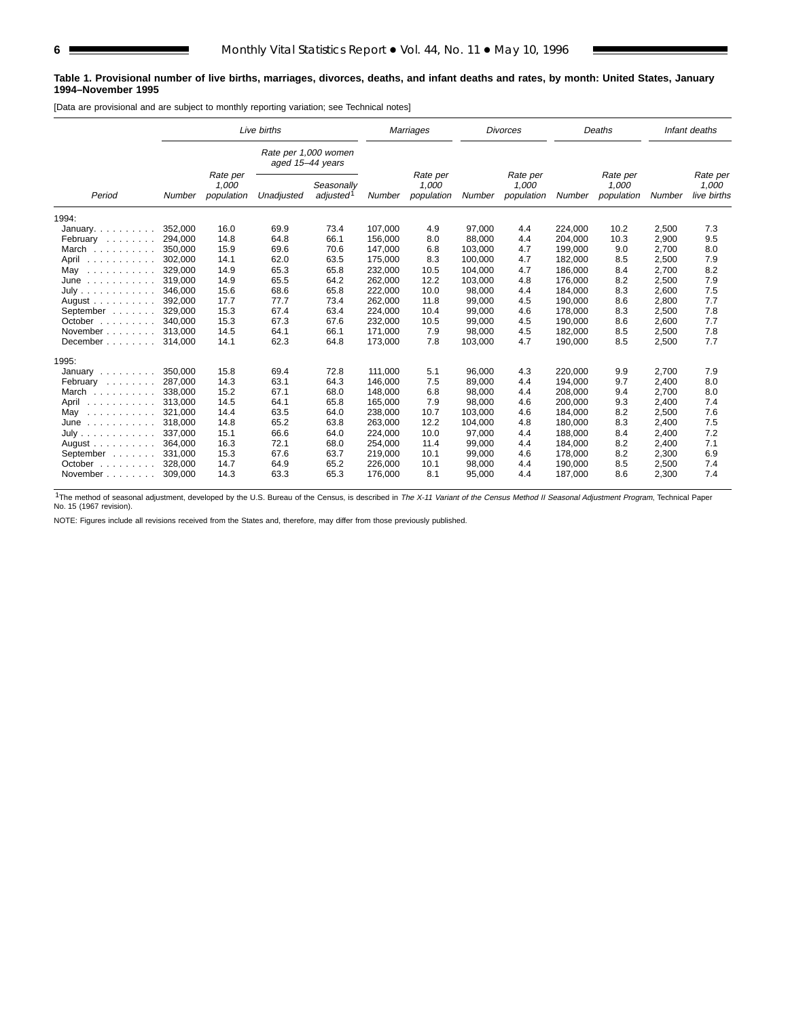#### **Table 1. Provisional number of live births, marriages, divorces, deaths, and infant deaths and rates, by month: United States, January 1994–November 1995**

[Data are provisional and are subject to monthly reporting variation; see Technical notes]

|                              | Live births |                                 |                                          |                                     | Marriages |                                 | <b>Divorces</b> |                                 |         | Deaths                          |        | Infant deaths                    |
|------------------------------|-------------|---------------------------------|------------------------------------------|-------------------------------------|-----------|---------------------------------|-----------------|---------------------------------|---------|---------------------------------|--------|----------------------------------|
|                              |             |                                 | Rate per 1,000 women<br>aged 15-44 years |                                     |           |                                 |                 |                                 |         |                                 |        |                                  |
| Period                       | Number      | Rate per<br>1,000<br>population | Unadjusted                               | Seasonally<br>adjusted <sup>1</sup> | Number    | Rate per<br>1,000<br>population | Number          | Rate per<br>1,000<br>population | Number  | Rate per<br>1,000<br>population | Number | Rate per<br>1,000<br>live births |
| 1994:                        |             |                                 |                                          |                                     |           |                                 |                 |                                 |         |                                 |        |                                  |
| January. $\ldots$ .          | 352.000     | 16.0                            | 69.9                                     | 73.4                                | 107.000   | 4.9                             | 97,000          | 4.4                             | 224,000 | 10.2                            | 2,500  | 7.3                              |
| February                     | 294,000     | 14.8                            | 64.8                                     | 66.1                                | 156,000   | 8.0                             | 88,000          | 4.4                             | 204,000 | 10.3                            | 2,900  | 9.5                              |
| March                        | 350.000     | 15.9                            | 69.6                                     | 70.6                                | 147,000   | 6.8                             | 103,000         | 4.7                             | 199,000 | 9.0                             | 2,700  | 8.0                              |
| April<br>.                   | 302,000     | 14.1                            | 62.0                                     | 63.5                                | 175,000   | 8.3                             | 100,000         | 4.7                             | 182,000 | 8.5                             | 2,500  | 7.9                              |
| May<br>.                     | 329,000     | 14.9                            | 65.3                                     | 65.8                                | 232,000   | 10.5                            | 104,000         | 4.7                             | 186,000 | 8.4                             | 2,700  | 8.2                              |
| June<br>.                    | 319.000     | 14.9                            | 65.5                                     | 64.2                                | 262,000   | 12.2                            | 103,000         | 4.8                             | 176.000 | 8.2                             | 2,500  | 7.9                              |
| July                         | 346.000     | 15.6                            | 68.6                                     | 65.8                                | 222.000   | 10.0                            | 98,000          | 4.4                             | 184.000 | 8.3                             | 2.600  | 7.5                              |
| August                       | 392.000     | 17.7                            | 77.7                                     | 73.4                                | 262,000   | 11.8                            | 99,000          | 4.5                             | 190.000 | 8.6                             | 2.800  | 7.7                              |
| September                    | 329,000     | 15.3                            | 67.4                                     | 63.4                                | 224,000   | 10.4                            | 99,000          | 4.6                             | 178,000 | 8.3                             | 2,500  | 7.8                              |
| October $\ldots$ , $\ldots$  | 340.000     | 15.3                            | 67.3                                     | 67.6                                | 232,000   | 10.5                            | 99,000          | 4.5                             | 190.000 | 8.6                             | 2,600  | 7.7                              |
| November                     | 313.000     | 14.5                            | 64.1                                     | 66.1                                | 171,000   | 7.9                             | 98,000          | 4.5                             | 182,000 | 8.5                             | 2,500  | 7.8                              |
| December                     | 314,000     | 14.1                            | 62.3                                     | 64.8                                | 173,000   | 7.8                             | 103,000         | 4.7                             | 190,000 | 8.5                             | 2,500  | 7.7                              |
| 1995:                        |             |                                 |                                          |                                     |           |                                 |                 |                                 |         |                                 |        |                                  |
| January $\ldots$ , $\ldots$  | 350,000     | 15.8                            | 69.4                                     | 72.8                                | 111,000   | 5.1                             | 96,000          | 4.3                             | 220,000 | 9.9                             | 2,700  | 7.9                              |
| February                     | 287.000     | 14.3                            | 63.1                                     | 64.3                                | 146.000   | 7.5                             | 89,000          | 4.4                             | 194.000 | 9.7                             | 2,400  | 8.0                              |
| March<br>.                   | 338,000     | 15.2                            | 67.1                                     | 68.0                                | 148,000   | 6.8                             | 98,000          | 4.4                             | 208,000 | 9.4                             | 2,700  | 8.0                              |
| April<br>.                   | 313,000     | 14.5                            | 64.1                                     | 65.8                                | 165,000   | 7.9                             | 98,000          | 4.6                             | 200,000 | 9.3                             | 2,400  | 7.4                              |
| May<br>.                     | 321,000     | 14.4                            | 63.5                                     | 64.0                                | 238,000   | 10.7                            | 103,000         | 4.6                             | 184,000 | 8.2                             | 2,500  | 7.6                              |
| June<br>.                    | 318.000     | 14.8                            | 65.2                                     | 63.8                                | 263,000   | 12.2                            | 104,000         | 4.8                             | 180,000 | 8.3                             | 2,400  | 7.5                              |
| July                         | 337.000     | 15.1                            | 66.6                                     | 64.0                                | 224,000   | 10.0                            | 97,000          | 4.4                             | 188.000 | 8.4                             | 2,400  | 7.2                              |
| August $\ldots$ , $\ldots$ , | 364,000     | 16.3                            | 72.1                                     | 68.0                                | 254,000   | 11.4                            | 99,000          | 4.4                             | 184,000 | 8.2                             | 2,400  | 7.1                              |
| September                    | 331.000     | 15.3                            | 67.6                                     | 63.7                                | 219,000   | 10.1                            | 99,000          | 4.6                             | 178.000 | 8.2                             | 2,300  | 6.9                              |
| October $\ldots$ , $\ldots$  | 328,000     | 14.7                            | 64.9                                     | 65.2                                | 226,000   | 10.1                            | 98,000          | 4.4                             | 190,000 | 8.5                             | 2,500  | 7.4                              |
| November                     | 309,000     | 14.3                            | 63.3                                     | 65.3                                | 176,000   | 8.1                             | 95,000          | 4.4                             | 187,000 | 8.6                             | 2,300  | 7.4                              |

<sup>1</sup>The method of seasonal adjustment, developed by the U.S. Bureau of the Census, is described in The X-11 Variant of the Census Method II Seasonal Adjustment Program, Technical Paper<br>No. 15 (1967 revision).

NOTE: Figures include all revisions received from the States and, therefore, may differ from those previously published.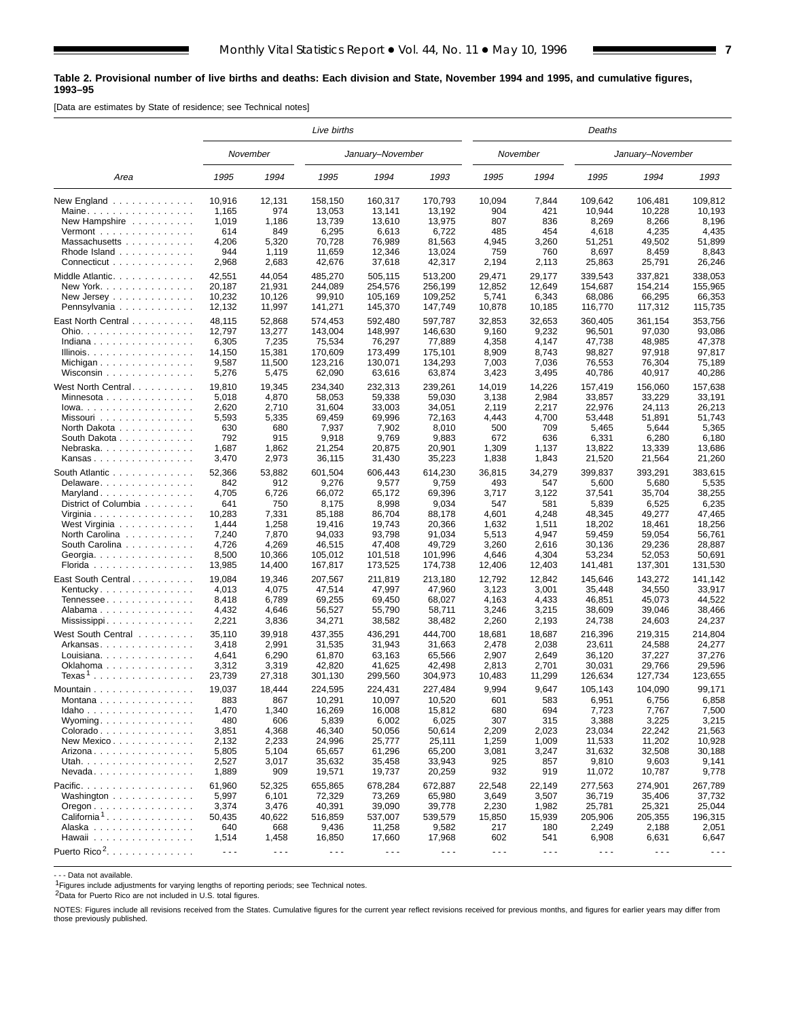#### **Table 2. Provisional number of live births and deaths: Each division and State, November 1994 and 1995, and cumulative figures, 1993–95**

[Data are estimates by State of residence; see Technical notes]

|                                                   | Live births          |                      |                      |                      |           |                      | Deaths               |                      |                      |                      |  |  |  |  |
|---------------------------------------------------|----------------------|----------------------|----------------------|----------------------|-----------|----------------------|----------------------|----------------------|----------------------|----------------------|--|--|--|--|
|                                                   |                      | November             |                      | January-November     |           |                      | November             |                      | January-November     |                      |  |  |  |  |
| Area                                              | 1995                 | 1994                 | 1995                 | 1994                 | 1993      | 1995                 | 1994                 | 1995                 | 1994                 | 1993                 |  |  |  |  |
| New England                                       | 10,916               | 12,131               | 158,150              | 160,317              | 170,793   | 10,094               | 7,844                | 109,642              | 106,481              | 109,812              |  |  |  |  |
| Maine                                             | 1,165                | 974                  | 13,053               | 13,141               | 13,192    | 904                  | 421                  | 10,944               | 10,228               | 10,193               |  |  |  |  |
| New Hampshire                                     | 1,019                | 1,186                | 13,739               | 13,610               | 13,975    | 807                  | 836                  | 8,269                | 8,266                | 8,196                |  |  |  |  |
| Vermont $\ldots$ , $\ldots$ , $\ldots$ , $\ldots$ | 614                  | 849                  | 6,295                | 6,613                | 6,722     | 485                  | 454                  | 4,618                | 4,235                | 4,435                |  |  |  |  |
| Massachusetts                                     | 4,206                | 5,320                | 70,728               | 76,989               | 81,563    | 4,945                | 3,260                | 51,251               | 49,502               | 51,899               |  |  |  |  |
| Rhode Island                                      | 944                  | 1,119                | 11,659               | 12,346               | 13,024    | 759                  | 760                  | 8,697                | 8,459                | 8,843                |  |  |  |  |
| Connecticut                                       | 2,968                | 2,683                | 42,676               | 37,618               | 42,317    | 2,194                | 2,113                | 25,863               | 25,791               | 26,246               |  |  |  |  |
| Middle Atlantic.                                  | 42,551               | 44,054               | 485,270              | 505,115              | 513,200   | 29,471               | 29,177               | 339,543              | 337,821              | 338,053              |  |  |  |  |
| New York.                                         | 20,187               | 21,931               | 244.089              | 254,576              | 256,199   | 12,852               | 12,649               | 154,687              | 154,214              | 155,965              |  |  |  |  |
| New Jersey $\dots$ , $\dots$ , $\dots$ ,          | 10,232               | 10,126               | 99,910               | 105,169              | 109,252   | 5,741                | 6,343                | 68,086               | 66,295               | 66,353               |  |  |  |  |
| Pennsylvania                                      | 12,132               | 11,997               | 141,271              | 145,370              | 147,749   | 10,878               | 10,185               | 116,770              | 117,312              | 115,735              |  |  |  |  |
| East North Central                                | 48,115               | 52,868               | 574,453              | 592,480              | 597,787   | 32,853               | 32,653               | 360,405              | 361,154              | 353,756              |  |  |  |  |
| Ohio.                                             | 12,797               | 13,277               | 143,004              | 148,997              | 146,630   | 9,160                | 9,232                | 96,501               | 97,030               | 93,086               |  |  |  |  |
| Indiana                                           | 6,305                | 7,235                | 75,534               | 76,297               | 77,889    | 4,358                | 4,147                | 47,738               | 48,985               | 47,378               |  |  |  |  |
| Illinois.                                         | 14,150               | 15,381               | 170,609              | 173,499              | 175,101   | 8,909                | 8,743                | 98,827               | 97,918               | 97,817               |  |  |  |  |
|                                                   | 9,587                | 11,500               | 123,216              | 130,071              | 134,293   | 7,003                | 7,036                | 76,553               | 76,304               | 75,189               |  |  |  |  |
| Wisconsin                                         | 5,276                | 5,475                | 62,090               | 63,616               | 63,874    | 3,423                | 3,495                | 40,786               | 40,917               | 40,286               |  |  |  |  |
| West North Central                                | 19,810               | 19,345               | 234,340              | 232,313              | 239,261   | 14,019               | 14,226               | 157,419              | 156,060              | 157,638              |  |  |  |  |
| Minnesota                                         | 5,018                | 4,870                | 58.053               | 59,338               | 59,030    | 3,138                | 2,984                | 33,857               | 33,229               | 33,191               |  |  |  |  |
| $lowa.$                                           | 2,620                | 2,710                | 31,604               | 33,003               | 34,051    | 2,119                | 2,217                | 22,976               | 24,113               | 26,213               |  |  |  |  |
| Missouri                                          | 5,593                | 5,335                | 69,459               | 69,996               | 72,163    | 4,443                | 4,700                | 53,448               | 51,891               | 51,743               |  |  |  |  |
| North Dakota                                      | 630                  | 680                  | 7,937                | 7,902                | 8,010     | 500                  | 709                  | 5,465                | 5,644                | 5,365                |  |  |  |  |
| South Dakota                                      | 792                  | 915                  | 9,918                | 9,769                | 9,883     | 672                  | 636                  | 6,331                | 6,280                | 6,180                |  |  |  |  |
| Nebraska.                                         | 1,687                | 1,862                | 21,254               | 20,875               | 20,901    | 1,309                | 1,137                | 13,822               | 13,339               | 13,686               |  |  |  |  |
| Kansas                                            | 3,470                | 2,973                | 36,115               | 31,430               | 35,223    | 1,838                | 1,843                | 21,520               | 21,564               | 21,260               |  |  |  |  |
| South Atlantic                                    | 52,366               | 53,882               | 601,504              | 606,443              | 614,230   | 36,815               | 34,279               | 399,837              | 393,291              | 383,615              |  |  |  |  |
| Delaware                                          | 842                  | 912                  | 9,276                | 9,577                | 9,759     | 493                  | 547                  | 5,600                | 5,680                | 5,535                |  |  |  |  |
| Maryland                                          | 4,705                | 6,726                | 66,072               | 65,172               | 69,396    | 3,717                | 3,122                | 37,541               | 35,704               | 38,255               |  |  |  |  |
| District of Columbia                              | 641                  | 750                  | 8,175                | 8,998                | 9,034     | 547                  | 581                  | 5,839                | 6,525                | 6,235                |  |  |  |  |
| Virginia                                          | 10,283               | 7,331                | 85,188               | 86,704               | 88,178    | 4,601                | 4,248                | 48,345               | 49,277               | 47,465               |  |  |  |  |
| West Virginia                                     | 1,444                | 1,258                | 19,416               | 19,743               | 20,366    | 1,632                | 1,511                | 18,202               | 18,461               | 18,256               |  |  |  |  |
| North Carolina                                    | 7,240                | 7,870                | 94,033               | 93,798               | 91,034    | 5,513                | 4,947                | 59,459               | 59,054               | 56,761               |  |  |  |  |
| South Carolina                                    | 4,726                | 4,269                | 46,515               | 47,408               | 49,729    | 3,260                | 2,616                | 30,136               | 29,236               | 28,887               |  |  |  |  |
| Georgia.                                          | 8,500                | 10,366               | 105,012              | 101,518              | 101,996   | 4,646                | 4,304                | 53,234               | 52,053               | 50,691               |  |  |  |  |
| Florida                                           | 13,985               | 14,400               | 167,817              | 173,525              | 174,738   | 12,406               | 12,403               | 141,481              | 137,301              | 131,530              |  |  |  |  |
| East South Central.                               | 19,084               | 19,346               | 207,567              | 211,819              | 213,180   | 12,792               | 12,842               | 145,646              | 143,272              | 141,142              |  |  |  |  |
| Kentucky                                          | 4,013                | 4,075                | 47,514               | 47,997               | 47,960    | 3,123                | 3,001                | 35,448               | 34,550               | 33,917               |  |  |  |  |
| Tennessee                                         | 8,418                | 6,789                | 69,255               | 69,450               | 68,027    | 4,163                | 4,433                | 46,851               | 45,073               | 44,522               |  |  |  |  |
| Alabama                                           | 4,432                | 4,646                | 56,527               | 55,790               | 58,711    | 3,246                | 3,215                | 38,609               | 39,046               | 38,466               |  |  |  |  |
|                                                   | 2,221                | 3,836                | 34,271               | 38,582               | 38,482    | 2,260                | 2,193                | 24,738               | 24,603               | 24,237               |  |  |  |  |
| West South Central                                | 35,110               | 39,918               | 437,355              | 436,291              | 444,700   | 18,681               | 18,687               | 216,396              | 219,315              | 214,804              |  |  |  |  |
| Arkansas                                          | 3,418                | 2,991                | 31,535               | 31,943               | 31.663    | 2,478                | 2,038                | 23,611               | 24,588               | 24,277               |  |  |  |  |
| Louisiana                                         | 4,641                | 6,290                | 61,870               | 63,163               | 65,566    | 2,907                | 2,649                | 36,120               | 37,227               | 37,276               |  |  |  |  |
|                                                   | 3,312                | 3,319                | 42,820               | 41,625               | 42,498    | 2,813                | 2,701                | 30,031               | 29,766               | 29,596               |  |  |  |  |
| Texas <sup>1</sup>                                | 23,739               | 27,318               | 301,130              | 299,560              | 304,973   | 10,483               | 11,299               | 126,634              | 127,734              | 123,655              |  |  |  |  |
| Mountain                                          | 19,037               | 18,444               | 224,595              | 224,431              | 227,484   | 9,994                | 9,647                | 105,143              | 104,090              | 99,171               |  |  |  |  |
| Montana                                           | 883                  | 867                  | 10,291               | 10,097               | 10,520    | 601                  | 583                  | 6,951                | 6,756                | 6,858                |  |  |  |  |
| Idaho                                             | 1,470                | 1,340                | 16,269               | 16,008               | 15,812    | 680                  | 694                  | 7,723                | 7,767                | 7,500                |  |  |  |  |
| Wyoming. $\ldots$                                 | 480                  | 606                  | 5,839                | 6,002                | 6,025     | 307                  | 315                  | 3,388                | 3,225                | 3,215                |  |  |  |  |
| Colorado                                          | 3,851                | 4,368                | 46,340               | 50,056               | 50,614    | 2,209                | 2,023                | 23,034               | 22,242               | 21,563               |  |  |  |  |
| New Mexico                                        | 2,132                | 2,233                | 24,996               | 25,777               | 25,111    | 1,259                | 1,009                | 11,533               | 11,202               | 10,928               |  |  |  |  |
| Arizona                                           | 5,805                | 5,104                | 65,657               | 61,296               | 65,200    | 3,081                | 3,247                | 31,632               | 32,508               | 30,188               |  |  |  |  |
| Utah.                                             | 2,527                | 3,017                | 35,632               | 35,458               | 33,943    | 925                  | 857                  | 9,810                | 9,603                | 9,141                |  |  |  |  |
| $N$ evada                                         | 1,889                | 909                  | 19,571               | 19,737               | 20,259    | 932                  | 919                  | 11,072               | 10,787               | 9,778                |  |  |  |  |
| Pacific.                                          | 61,960               | 52,325               | 655,865              | 678,284              | 672,887   | 22,548               | 22,149               | 277,563              | 274,901              | 267,789              |  |  |  |  |
| Washington                                        | 5,997                | 6,101                | 72,329               | 73,269               | 65,980    | 3,649                | 3,507                | 36,719               | 35,406               | 37,732               |  |  |  |  |
| $O$ regon $\ldots \ldots \ldots \ldots$           | 3,374                | 3,476                | 40,391               | 39,090               | 39,778    | 2,230                | 1,982                | 25,781               | 25,321               | 25,044               |  |  |  |  |
| California <sup>1</sup>                           | 50,435               | 40,622               | 516,859              | 537,007              | 539,579   | 15,850               | 15,939               | 205,906              | 205,355              | 196,315              |  |  |  |  |
| Alaska                                            | 640                  | 668                  | 9,436                | 11,258               | 9,582     | 217                  | 180                  | 2,249                | 2,188                | 2,051                |  |  |  |  |
| Hawaii                                            | 1,514                | 1,458                | 16,850               | 17,660               | 17,968    | 602                  | 541                  | 6,908                | 6,631                | 6,647                |  |  |  |  |
| Puerto Rico <sup>2</sup> .                        | $\sim$ $\sim$ $\sim$ | $\sim$ $\sim$ $\sim$ | $\sim$ $\sim$ $\sim$ | $\sim$ $\sim$ $\sim$ | $\ddotsc$ | $\sim$ $\sim$ $\sim$ | $\sim$ $\sim$ $\sim$ | $\sim$ $\sim$ $\sim$ | $\sim$ $\sim$ $\sim$ | $\sim$ $\sim$ $\sim$ |  |  |  |  |

- - - Data not available.

1Figures include adjustments for varying lengths of reporting periods; see Technical notes.

2Data for Puerto Rico are not included in U.S. total figures.

NOTES: Figures include all revisions received from the States. Cumulative figures for the current year reflect revisions received for previous months, and figures for earlier years may differ from those previously published.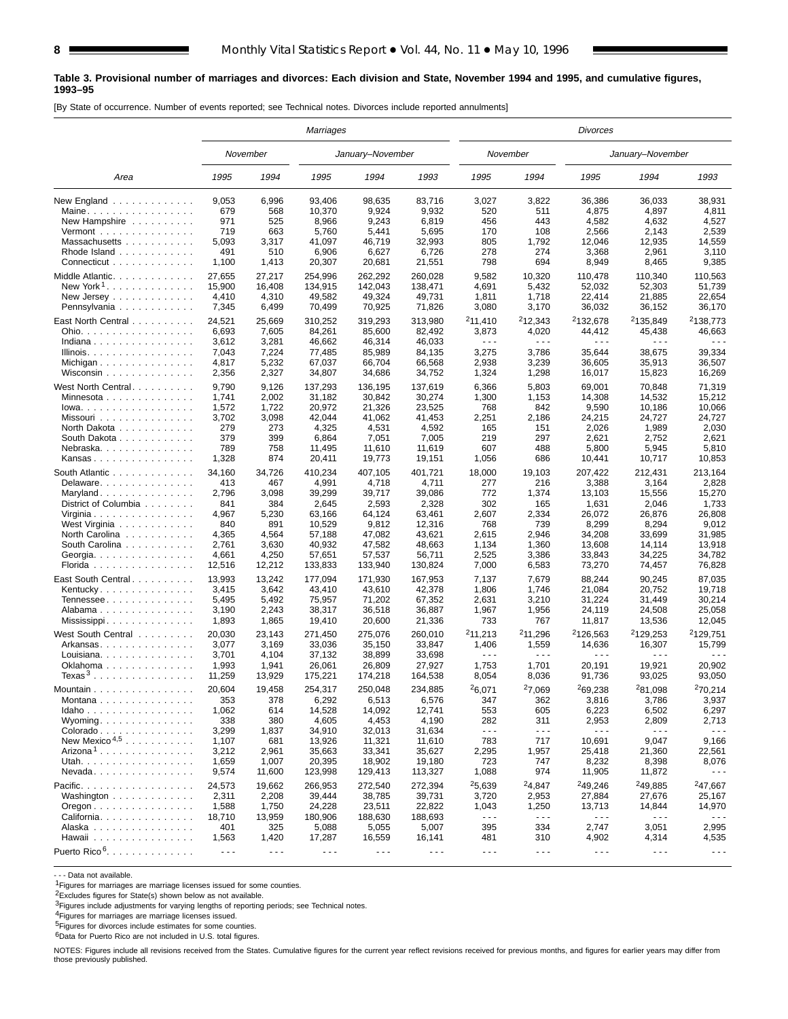#### **Table 3. Provisional number of marriages and divorces: Each division and State, November 1994 and 1995, and cumulative figures, 1993–95**

[By State of occurrence. Number of events reported; see Technical notes. Divorces include reported annulments]

|                                                                                      | Marriages                         |                                   |                                       |                                       |                                                                                                                                                                                                                                                                                                                                                                                              | <b>Divorces</b>                                               |                                                |                                                 |                                                   |                              |  |  |  |
|--------------------------------------------------------------------------------------|-----------------------------------|-----------------------------------|---------------------------------------|---------------------------------------|----------------------------------------------------------------------------------------------------------------------------------------------------------------------------------------------------------------------------------------------------------------------------------------------------------------------------------------------------------------------------------------------|---------------------------------------------------------------|------------------------------------------------|-------------------------------------------------|---------------------------------------------------|------------------------------|--|--|--|
|                                                                                      |                                   | November                          |                                       | January-November                      |                                                                                                                                                                                                                                                                                                                                                                                              |                                                               | November                                       |                                                 | January-November                                  |                              |  |  |  |
| Area                                                                                 | 1995                              | 1994                              | 1995                                  | 1994                                  | 1993                                                                                                                                                                                                                                                                                                                                                                                         | 1995                                                          | 1994                                           | 1995                                            | 1994                                              | 1993                         |  |  |  |
| New England                                                                          | 9,053                             | 6,996                             | 93,406                                | 98,635                                | 83,716                                                                                                                                                                                                                                                                                                                                                                                       | 3,027                                                         | 3,822                                          | 36,386                                          | 36,033                                            | 38,931                       |  |  |  |
| Maine.                                                                               | 679                               | 568                               | 10,370                                | 9,924                                 | 9,932                                                                                                                                                                                                                                                                                                                                                                                        | 520                                                           | 511                                            | 4,875                                           | 4,897                                             | 4,811                        |  |  |  |
| New Hampshire                                                                        | 971                               | 525                               | 8,966                                 | 9,243                                 | 6,819                                                                                                                                                                                                                                                                                                                                                                                        | 456                                                           | 443                                            | 4,582                                           | 4,632                                             | 4,527                        |  |  |  |
| Vermont $\dots\dots\dots\dots\dots\dots$                                             | 719                               | 663                               | 5,760                                 | 5,441                                 | 5,695                                                                                                                                                                                                                                                                                                                                                                                        | 170                                                           | 108                                            | 2,566                                           | 2,143                                             | 2,539                        |  |  |  |
| Massachusetts                                                                        | 5,093                             | 3,317                             | 41,097                                | 46,719                                | 32,993                                                                                                                                                                                                                                                                                                                                                                                       | 805                                                           | 1,792                                          | 12,046                                          | 12,935                                            | 14,559                       |  |  |  |
| Rhode Island                                                                         | 491                               | 510                               | 6,906                                 | 6,627                                 | 6,726                                                                                                                                                                                                                                                                                                                                                                                        | 278                                                           | 274                                            | 3,368                                           | 2,961                                             | 3,110                        |  |  |  |
| Connecticut                                                                          | 1,100                             | 1,413                             | 20,307                                | 20,681                                | 21,551                                                                                                                                                                                                                                                                                                                                                                                       | 798                                                           | 694                                            | 8,949                                           | 8,465                                             | 9,385                        |  |  |  |
| Middle Atlantic.                                                                     | 27,655                            | 27.217                            | 254,996                               | 262,292                               | 260,028                                                                                                                                                                                                                                                                                                                                                                                      | 9,582                                                         | 10,320                                         | 110,478                                         | 110,340                                           | 110,563                      |  |  |  |
| New York <sup>1</sup> .                                                              | 15,900                            | 16,408                            | 134,915                               | 142,043                               | 138,471                                                                                                                                                                                                                                                                                                                                                                                      | 4,691                                                         | 5,432                                          | 52,032                                          | 52,303                                            | 51,739                       |  |  |  |
|                                                                                      | 4,410                             | 4,310                             | 49,582                                | 49,324                                | 49,731                                                                                                                                                                                                                                                                                                                                                                                       | 1,811                                                         | 1,718                                          | 22,414                                          | 21,885                                            | 22,654                       |  |  |  |
| Pennsylvania                                                                         | 7,345                             | 6,499                             | 70,499                                | 70,925                                | 71,826                                                                                                                                                                                                                                                                                                                                                                                       | 3,080                                                         | 3,170                                          | 36,032                                          | 36,152                                            | 36,170                       |  |  |  |
| East North Central                                                                   | 24,521                            | 25,669                            | 310,252                               | 319,293                               | 313,980                                                                                                                                                                                                                                                                                                                                                                                      | 211,410                                                       | 212,343                                        | <sup>2</sup> 132,678                            | <sup>2</sup> 135,849                              | <sup>2</sup> 138,773         |  |  |  |
| Ohio.                                                                                | 6,693                             | 7,605                             | 84,261                                | 85,600                                | 82,492                                                                                                                                                                                                                                                                                                                                                                                       | 3,873                                                         | 4,020                                          | 44,412                                          | 45,438                                            | 46,663                       |  |  |  |
| Indiana                                                                              | 3,612                             | 3,281                             | 46,662                                | 46,314                                | 46,033                                                                                                                                                                                                                                                                                                                                                                                       | $  -$                                                         | $\sim$ $\sim$ $\sim$                           | $\sim$ $\sim$ $\sim$                            | $  -$                                             | .                            |  |  |  |
| Illinois.                                                                            | 7,043                             | 7,224                             | 77,485                                | 85,989                                | 84,135                                                                                                                                                                                                                                                                                                                                                                                       | 3,275                                                         | 3,786                                          | 35,644                                          | 38,675                                            | 39,334                       |  |  |  |
|                                                                                      | 4,817                             | 5,232                             | 67,037                                | 66,704                                | 66,568                                                                                                                                                                                                                                                                                                                                                                                       | 2,938                                                         | 3,239                                          | 36,605                                          | 35,913                                            | 36,507                       |  |  |  |
| Wisconsin                                                                            | 2,356                             | 2,327                             | 34,807                                | 34,686                                | 34,752                                                                                                                                                                                                                                                                                                                                                                                       | 1,324                                                         | 1,298                                          | 16,017                                          | 15,823                                            | 16,269                       |  |  |  |
| West North Central.                                                                  | 9,790                             | 9,126                             | 137,293                               | 136,195                               | 137,619                                                                                                                                                                                                                                                                                                                                                                                      | 6,366                                                         | 5,803                                          | 69,001                                          | 70,848                                            | 71,319                       |  |  |  |
| Minnesota                                                                            | 1,741                             | 2,002                             | 31,182                                | 30,842                                | 30,274                                                                                                                                                                                                                                                                                                                                                                                       | 1,300                                                         | 1,153                                          | 14,308                                          | 14,532                                            | 15,212                       |  |  |  |
| Iowa.                                                                                | 1,572                             | 1,722                             | 20,972                                | 21,326                                | 23,525                                                                                                                                                                                                                                                                                                                                                                                       | 768                                                           | 842                                            | 9,590                                           | 10,186                                            | 10,066                       |  |  |  |
| Missouri                                                                             | 3,702                             | 3,098                             | 42,044                                | 41.062                                | 41,453                                                                                                                                                                                                                                                                                                                                                                                       | 2,251                                                         | 2,186                                          | 24,215                                          | 24,727                                            | 24,727                       |  |  |  |
| North Dakota                                                                         | 279                               | 273                               | 4,325                                 | 4,531                                 | 4,592                                                                                                                                                                                                                                                                                                                                                                                        | 165                                                           | 151                                            | 2,026                                           | 1,989                                             | 2,030                        |  |  |  |
| South Dakota                                                                         | 379                               | 399                               | 6,864                                 | 7,051                                 | 7,005                                                                                                                                                                                                                                                                                                                                                                                        | 219                                                           | 297                                            | 2,621                                           | 2,752                                             | 2,621                        |  |  |  |
| Nebraska.                                                                            | 789                               | 758                               | 11,495                                | 11,610                                | 11,619                                                                                                                                                                                                                                                                                                                                                                                       | 607                                                           | 488                                            | 5,800                                           | 5,945                                             | 5,810                        |  |  |  |
| Kansas                                                                               | 1,328                             | 874                               | 20,411                                | 19,773                                | 19,151                                                                                                                                                                                                                                                                                                                                                                                       | 1,056                                                         | 686                                            | 10,441                                          | 10,717                                            | 10,853                       |  |  |  |
| South Atlantic                                                                       | 34,160                            | 34,726                            | 410,234                               | 407,105                               | 401,721                                                                                                                                                                                                                                                                                                                                                                                      | 18,000                                                        | 19,103                                         | 207,422                                         | 212,431                                           | 213,164                      |  |  |  |
| Delaware                                                                             | 413                               | 467                               | 4,991                                 | 4,718                                 | 4,711                                                                                                                                                                                                                                                                                                                                                                                        | 277                                                           | 216                                            | 3,388                                           | 3,164                                             | 2,828                        |  |  |  |
| Maryland                                                                             | 2,796                             | 3,098                             | 39,299                                | 39,717                                | 39,086                                                                                                                                                                                                                                                                                                                                                                                       | 772                                                           | 1,374                                          | 13,103                                          | 15,556                                            | 15,270                       |  |  |  |
| District of Columbia                                                                 | 841                               | 384                               | 2,645                                 | 2,593                                 | 2,328                                                                                                                                                                                                                                                                                                                                                                                        | 302                                                           | 165                                            | 1,631                                           | 2,046                                             | 1,733                        |  |  |  |
| Virginia                                                                             | 4,967                             | 5,230                             | 63,166                                | 64,124                                | 63,461                                                                                                                                                                                                                                                                                                                                                                                       | 2,607                                                         | 2,334                                          | 26,072                                          | 26,876                                            | 26,808                       |  |  |  |
| West Virginia                                                                        | 840                               | 891                               | 10,529                                | 9,812                                 | 12,316                                                                                                                                                                                                                                                                                                                                                                                       | 768                                                           | 739                                            | 8,299                                           | 8,294                                             | 9,012                        |  |  |  |
| North Carolina                                                                       | 4,365                             | 4,564                             | 57,188                                | 47,082                                | 43,621                                                                                                                                                                                                                                                                                                                                                                                       | 2,615                                                         | 2,946                                          | 34,208                                          | 33,699                                            | 31,985                       |  |  |  |
| South Carolina                                                                       | 2,761                             | 3,630                             | 40,932                                | 47,582                                | 48,663                                                                                                                                                                                                                                                                                                                                                                                       | 1,134                                                         | 1,360                                          | 13,608                                          | 14,114                                            | 13,918                       |  |  |  |
| Georgia.                                                                             | 4,661                             | 4,250                             | 57,651                                | 57,537                                | 56,711                                                                                                                                                                                                                                                                                                                                                                                       | 2,525                                                         | 3,386                                          | 33,843                                          | 34,225                                            | 34,782                       |  |  |  |
| Florida                                                                              | 12,516                            | 12,212                            | 133,833                               | 133,940                               | 130,824                                                                                                                                                                                                                                                                                                                                                                                      | 7,000                                                         | 6,583                                          | 73,270                                          | 74,457                                            | 76,828                       |  |  |  |
| East South Central.                                                                  | 13,993                            | 13,242                            | 177,094                               | 171,930                               | 167,953                                                                                                                                                                                                                                                                                                                                                                                      | 7,137                                                         | 7,679                                          | 88,244                                          | 90,245                                            | 87,035                       |  |  |  |
| Kentucky                                                                             | 3,415                             | 3,642                             | 43,410                                | 43,610                                | 42,378                                                                                                                                                                                                                                                                                                                                                                                       | 1,806                                                         | 1,746                                          | 21,084                                          | 20,752                                            | 19,718                       |  |  |  |
| Tennessee                                                                            | 5,495                             | 5,492                             | 75,957                                | 71,202                                | 67,352                                                                                                                                                                                                                                                                                                                                                                                       | 2,631                                                         | 3,210                                          | 31,224                                          | 31,449                                            | 30,214                       |  |  |  |
| Alabama                                                                              | 3,190                             | 2,243                             | 38,317                                | 36,518                                | 36,887                                                                                                                                                                                                                                                                                                                                                                                       | 1,967                                                         | 1,956                                          | 24,119                                          | 24,508                                            | 25,058                       |  |  |  |
| Mississippi                                                                          | 1,893                             | 1,865                             | 19,410                                | 20,600                                | 21,336                                                                                                                                                                                                                                                                                                                                                                                       | 733                                                           | 767                                            | 11,817                                          | 13,536                                            | 12,045                       |  |  |  |
| West South Central<br>Arkansas<br>Louisiana<br>Oklahoma                              | 20,030<br>3,077<br>3,701<br>1,993 | 23,143<br>3,169<br>4,104<br>1,941 | 271,450<br>33.036<br>37,132<br>26,061 | 275.076<br>35,150<br>38,899<br>26,809 | 260,010<br>33,847<br>33,698<br>27,927                                                                                                                                                                                                                                                                                                                                                        | <sup>2</sup> 11,213<br>1,406<br>$\sim$ $\sim$ $\sim$<br>1,753 | <sup>2</sup> 11,296<br>1,559<br>$  -$<br>1,701 | <sup>2</sup> 126,563<br>14,636<br>---<br>20,191 | <sup>2</sup> 129.253<br>16,307<br>$  -$<br>19,921 | 2129,751<br>15,799<br>20,902 |  |  |  |
| Texas <sup>3</sup>                                                                   | 11,259                            | 13,929                            | 175,221                               | 174,218                               | 164,538                                                                                                                                                                                                                                                                                                                                                                                      | 8,054                                                         | 8,036                                          | 91,736                                          | 93,025                                            | 93,050                       |  |  |  |
| Mountain                                                                             | 20,604                            | 19,458                            | 254,317                               | 250.048                               | 234,885                                                                                                                                                                                                                                                                                                                                                                                      | 26,071                                                        | <sup>2</sup> 7,069                             | 269,238                                         | <sup>2</sup> 81,098                               | <sup>2</sup> 70,214          |  |  |  |
| Montana                                                                              | 353                               | 378                               | 6,292                                 | 6,513                                 | 6,576                                                                                                                                                                                                                                                                                                                                                                                        | 347                                                           | 362                                            | 3,816                                           | 3,786                                             | 3,937                        |  |  |  |
| Idaho                                                                                | 1,062                             | 614                               | 14,528                                | 14,092                                | 12,741                                                                                                                                                                                                                                                                                                                                                                                       | 553                                                           | 605                                            | 6,223                                           | 6,502                                             | 6,297                        |  |  |  |
| Wyoming                                                                              | 338                               | 380                               | 4,605                                 | 4,453                                 | 4,190                                                                                                                                                                                                                                                                                                                                                                                        | 282                                                           | 311                                            | 2,953                                           | 2,809                                             | 2,713                        |  |  |  |
| Colorado                                                                             | 3,299                             | 1,837                             | 34,910                                | 32,013                                | 31,634                                                                                                                                                                                                                                                                                                                                                                                       | $\sim$ $\sim$ $\sim$                                          | $\sim$ $\sim$ $\sim$                           | $- - -$                                         | $\sim$ $\sim$ $\sim$                              | $\sim$ $\sim$ $\sim$         |  |  |  |
| New Mexico <sup><math>4,5</math></sup><br>Arizona <sup>1</sup><br>Utah.<br>$N$ evada | 1,107<br>3,212<br>1,659<br>9,574  | 681<br>2,961<br>1,007<br>11,600   | 13,926<br>35,663<br>20,395<br>123,998 | 11,321<br>33,341<br>18,902<br>129,413 | 11,610<br>35,627<br>19,180<br>113,327                                                                                                                                                                                                                                                                                                                                                        | 783<br>2,295<br>723<br>1,088                                  | 717<br>1,957<br>747<br>974                     | 10,691<br>25,418<br>8,232<br>11,905             | 9,047<br>21,360<br>8,398<br>11,872                | 9,166<br>22,561<br>8,076     |  |  |  |
| Pacific.                                                                             | 24,573                            | 19,662                            | 266,953                               | 272,540                               | 272,394                                                                                                                                                                                                                                                                                                                                                                                      | 25,639                                                        | 24,847                                         | 249,246                                         | <sup>2</sup> 49,885                               | 247,667                      |  |  |  |
| Washington                                                                           | 2,311                             | 2,208                             | 39,444                                | 38,785                                | 39,731                                                                                                                                                                                                                                                                                                                                                                                       | 3,720                                                         | 2,953                                          | 27,884                                          | 27,676                                            | 25,167                       |  |  |  |
| $O$ regon $\ldots \ldots \ldots \ldots \ldots$                                       | 1,588                             | 1,750                             | 24,228                                | 23,511                                | 22,822                                                                                                                                                                                                                                                                                                                                                                                       | 1,043                                                         | 1,250                                          | 13,713                                          | 14,844                                            | 14,970                       |  |  |  |
| California                                                                           | 18,710                            | 13,959                            | 180,906                               | 188,630                               | 188,693                                                                                                                                                                                                                                                                                                                                                                                      | $\sim$ $\sim$ $\sim$                                          | $\sim$ $\sim$ $\sim$                           | $\sim$ $\sim$ $\sim$                            | $\sim$ $\sim$ $\sim$                              | $\sim$ $\sim$ $\sim$         |  |  |  |
| Alaska                                                                               | 401                               | 325                               | 5,088                                 | 5,055                                 | 5,007                                                                                                                                                                                                                                                                                                                                                                                        | 395                                                           | 334                                            | 2,747                                           | 3,051                                             | 2,995                        |  |  |  |
| Hawaii                                                                               | 1,563                             | 1,420                             | 17,287                                | 16,559                                | 16,141                                                                                                                                                                                                                                                                                                                                                                                       | 481                                                           | 310                                            | 4,902                                           | 4,314                                             | 4,535                        |  |  |  |
| Puerto Rico <sup>6</sup> .                                                           | $\omega = \omega$                 | $\sim$ $\sim$ $\sim$              | $\sim$ $\sim$ $\sim$                  | $\sim$ $\sim$ $\sim$                  | $\frac{1}{2} \frac{1}{2} \frac{1}{2} \frac{1}{2} \frac{1}{2} \frac{1}{2} \frac{1}{2} \frac{1}{2} \frac{1}{2} \frac{1}{2} \frac{1}{2} \frac{1}{2} \frac{1}{2} \frac{1}{2} \frac{1}{2} \frac{1}{2} \frac{1}{2} \frac{1}{2} \frac{1}{2} \frac{1}{2} \frac{1}{2} \frac{1}{2} \frac{1}{2} \frac{1}{2} \frac{1}{2} \frac{1}{2} \frac{1}{2} \frac{1}{2} \frac{1}{2} \frac{1}{2} \frac{1}{2} \frac{$ | $\sim$ $\sim$ $\sim$                                          | $\sim$ $\sim$ $\sim$                           | $\sim$ $\sim$ $\sim$                            | $\sim$ $\sim$ $\sim$                              | $\sim$ $\sim$ $\sim$         |  |  |  |

- - - Data not available.

1Figures for marriages are marriage licenses issued for some counties.

2Excludes figures for State(s) shown below as not available.

3Figures include adjustments for varying lengths of reporting periods; see Technical notes. 4Figures for marriages are marriage licenses issued.

5Figures for divorces include estimates for some counties.

6Data for Puerto Rico are not included in U.S. total figures.

NOTES: Figures include all revisions received from the States. Cumulative figures for the current year reflect revisions received for previous months, and figures for earlier years may differ from those previously published.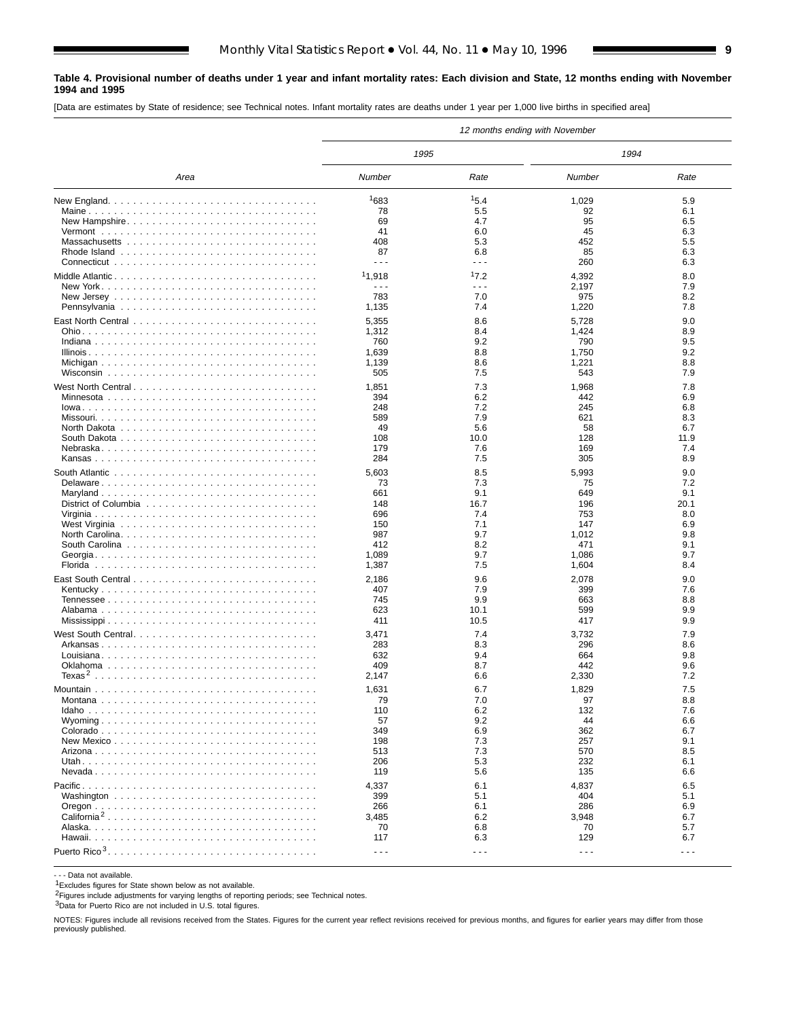#### **Table 4. Provisional number of deaths under 1 year and infant mortality rates: Each division and State, 12 months ending with November 1994 and 1995**

[Data are estimates by State of residence; see Technical notes. Infant mortality rates are deaths under 1 year per 1,000 live births in specified area]

|                         | 12 months ending with November |                      |                      |            |  |  |  |  |  |  |
|-------------------------|--------------------------------|----------------------|----------------------|------------|--|--|--|--|--|--|
|                         | 1995                           |                      | 1994                 |            |  |  |  |  |  |  |
| Area                    | Number                         | Rate                 | Number               | Rate       |  |  |  |  |  |  |
|                         | 1683                           | 15.4                 | 1,029                | 5.9        |  |  |  |  |  |  |
|                         | 78                             | 5.5                  | 92                   | 6.1        |  |  |  |  |  |  |
|                         | 69                             | 4.7                  | 95                   | 6.5        |  |  |  |  |  |  |
|                         | 41                             | 6.0                  | 45                   | 6.3        |  |  |  |  |  |  |
|                         | 408                            | 5.3                  | 452                  | 5.5        |  |  |  |  |  |  |
|                         | 87                             | 6.8                  | 85                   | 6.3        |  |  |  |  |  |  |
|                         | $\sim$ $\sim$ $\sim$           | .                    | 260                  | 6.3        |  |  |  |  |  |  |
|                         | 11,918                         | 17.2                 | 4,392                | 8.0        |  |  |  |  |  |  |
|                         | $\sim$ $\sim$ $\sim$           | - - -                | 2,197                | 7.9        |  |  |  |  |  |  |
|                         | 783                            | 7.0                  | 975                  | 8.2        |  |  |  |  |  |  |
|                         | 1,135                          | 7.4                  | 1,220                | 7.8        |  |  |  |  |  |  |
|                         |                                |                      |                      |            |  |  |  |  |  |  |
|                         | 5,355                          | 8.6                  | 5,728                | 9.0<br>8.9 |  |  |  |  |  |  |
|                         | 1,312<br>760                   | 8.4<br>9.2           | 1,424<br>790         | 9.5        |  |  |  |  |  |  |
|                         | 1,639                          | 8.8                  | 1,750                | 9.2        |  |  |  |  |  |  |
|                         | 1,139                          | 8.6                  | 1,221                | 8.8        |  |  |  |  |  |  |
|                         | 505                            | 7.5                  | 543                  | 7.9        |  |  |  |  |  |  |
|                         |                                |                      |                      |            |  |  |  |  |  |  |
|                         | 1,851                          | 7.3                  | 1,968                | 7.8        |  |  |  |  |  |  |
|                         | 394                            | 6.2                  | 442                  | 6.9        |  |  |  |  |  |  |
|                         | 248                            | 7.2                  | 245                  | 6.8        |  |  |  |  |  |  |
|                         | 589                            | 7.9                  | 621                  | 8.3        |  |  |  |  |  |  |
|                         | 49                             | 5.6                  | 58                   | 6.7        |  |  |  |  |  |  |
|                         | 108                            | 10.0                 | 128                  | 11.9       |  |  |  |  |  |  |
|                         | 179                            | 7.6                  | 169                  | 7.4        |  |  |  |  |  |  |
|                         | 284                            | 7.5                  | 305                  | 8.9        |  |  |  |  |  |  |
|                         | 5,603                          | 8.5                  | 5,993                | 9.0        |  |  |  |  |  |  |
|                         | 73                             | 7.3                  | 75                   | 7.2        |  |  |  |  |  |  |
|                         | 661                            | 9.1                  | 649                  | 9.1        |  |  |  |  |  |  |
|                         | 148                            | 16.7                 | 196                  | 20.1       |  |  |  |  |  |  |
|                         | 696                            | 7.4                  | 753                  | 8.0        |  |  |  |  |  |  |
|                         | 150                            | 7.1                  | 147                  | 6.9        |  |  |  |  |  |  |
|                         | 987                            | 9.7                  | 1,012                | 9.8        |  |  |  |  |  |  |
|                         | 412                            | 8.2                  | 471                  | 9.1        |  |  |  |  |  |  |
|                         | 1,089                          | 9.7                  | 1,086                | 9.7        |  |  |  |  |  |  |
|                         | 1,387                          | 7.5                  | 1,604                | 8.4        |  |  |  |  |  |  |
|                         | 2,186                          | 9.6                  | 2,078                | 9.0        |  |  |  |  |  |  |
|                         | 407                            | 7.9                  | 399                  | 7.6        |  |  |  |  |  |  |
|                         | 745                            | 9.9                  | 663                  | 8.8        |  |  |  |  |  |  |
|                         | 623                            | 10.1                 | 599                  | 9.9        |  |  |  |  |  |  |
|                         | 411                            | 10.5                 | 417                  | 9.9        |  |  |  |  |  |  |
|                         | 3,471                          | 7.4                  | 3,732                | 7.9        |  |  |  |  |  |  |
|                         | 283                            | 8.3                  | 296                  | 8.6        |  |  |  |  |  |  |
|                         | 632                            | 9.4                  | 664                  | 9.8        |  |  |  |  |  |  |
|                         | 409                            | 8.7                  | 442                  | 9.6        |  |  |  |  |  |  |
|                         | 2,147                          | 6.6                  | 2,330                | 7.2        |  |  |  |  |  |  |
|                         | 1,631                          | 6.7                  | 1,829                | 7.5        |  |  |  |  |  |  |
|                         | 79                             | 7.0                  | 97                   | 8.8        |  |  |  |  |  |  |
|                         | 110                            | 6.2                  | 132                  | 7.6        |  |  |  |  |  |  |
|                         | 57                             | 9.2                  | 44                   | 6.6        |  |  |  |  |  |  |
|                         | 349                            | 6.9                  | 362                  | 6.7        |  |  |  |  |  |  |
|                         | 198                            | 7.3                  | 257                  | 9.1        |  |  |  |  |  |  |
|                         | 513                            | 7.3                  | 570                  | 8.5        |  |  |  |  |  |  |
|                         | 206                            | 5.3                  | 232                  | 6.1        |  |  |  |  |  |  |
|                         | 119                            | 5.6                  | 135                  | 6.6        |  |  |  |  |  |  |
|                         |                                |                      |                      |            |  |  |  |  |  |  |
|                         | 4,337<br>399                   | 6.1<br>5.1           | 4,837                | 6.5<br>5.1 |  |  |  |  |  |  |
|                         | 266                            | 6.1                  | 404<br>286           | 6.9        |  |  |  |  |  |  |
| California <sup>2</sup> | 3,485                          | 6.2                  | 3,948                | 6.7        |  |  |  |  |  |  |
|                         | 70                             | 6.8                  | 70                   | 5.7        |  |  |  |  |  |  |
|                         | 117                            | 6.3                  | 129                  | 6.7        |  |  |  |  |  |  |
|                         |                                |                      |                      |            |  |  |  |  |  |  |
|                         | $\sim$ $\sim$ $\sim$           | $\sim$ $\sim$ $\sim$ | $\sim$ $\sim$ $\sim$ | $- - -$    |  |  |  |  |  |  |

- - - Data not available.

1Excludes figures for State shown below as not available.

2Figures include adjustments for varying lengths of reporting periods; see Technical notes.

3Data for Puerto Rico are not included in U.S. total figures.

NOTES: Figures include all revisions received from the States. Figures for the current year reflect revisions received for previous months, and figures for earlier years may differ from those previously published.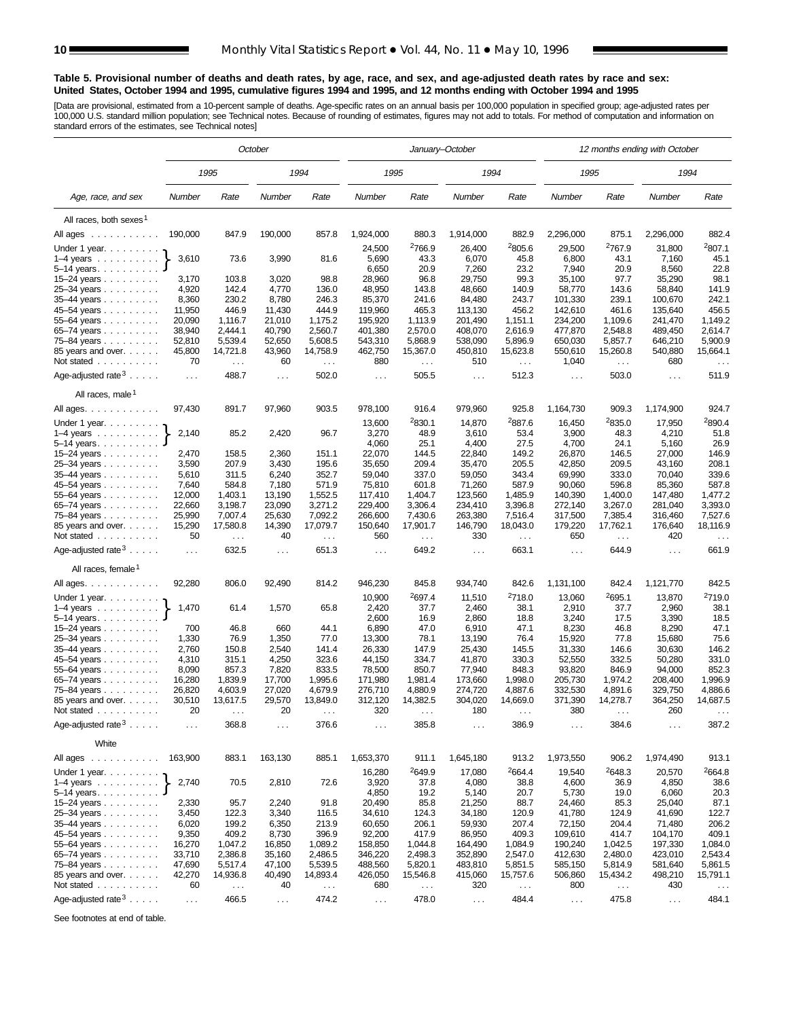#### **Table 5. Provisional number of deaths and death rates, by age, race, and sex, and age-adjusted death rates by race and sex: United States, October 1994 and 1995, cumulative figures 1994 and 1995, and 12 months ending with October 1994 and 1995**

[Data are provisional, estimated from a 10-percent sample of deaths. Age-specific rates on an annual basis per 100,000 population in specified group; age-adjusted rates per<br>100,000 U.S. standard million population; see Tec

|                                                                       | October              |                    |                  |                    |                      |                    | January-October    |                    | 12 months ending with October |                    |                    |                      |  |  |
|-----------------------------------------------------------------------|----------------------|--------------------|------------------|--------------------|----------------------|--------------------|--------------------|--------------------|-------------------------------|--------------------|--------------------|----------------------|--|--|
|                                                                       |                      | 1995               |                  | 1994               | 1995                 |                    | 1994               |                    | 1995                          |                    | 1994               |                      |  |  |
| Age, race, and sex                                                    | Number               | Rate               | Number           | Rate               | Number               | Rate               | Number             | Rate               | Number                        | Rate               | Number             | Rate                 |  |  |
| All races, both sexes <sup>1</sup>                                    |                      |                    |                  |                    |                      |                    |                    |                    |                               |                    |                    |                      |  |  |
| All ages<br>$\mathcal{A}$ , and a set of the set of the $\mathcal{A}$ | 190,000              | 847.9              | 190,000          | 857.8              | 1,924,000            | 880.3              | 1,914,000          | 882.9              | 2,296,000                     | 875.1              | 2,296,000          | 882.4                |  |  |
| Under 1 year. $\ldots$                                                |                      |                    |                  |                    | 24,500               | <sup>2</sup> 766.9 | 26,400             | <sup>2</sup> 805.6 | 29,500                        | <sup>2</sup> 767.9 | 31,800             | <sup>2</sup> 807.1   |  |  |
| $1-4$ years $\ldots$ $\ldots$ $\ldots$                                | 3,610                | 73.6               | 3,990            | 81.6               | 5,690                | 43.3               | 6,070              | 45.8               | 6,800                         | 43.1               | 7,160              | 45.1                 |  |  |
| $5 - 14$ years.                                                       |                      |                    |                  |                    | 6,650                | 20.9               | 7,260              | 23.2               | 7,940                         | 20.9               | 8,560              | 22.8                 |  |  |
| 15-24 years                                                           | 3,170                | 103.8              | 3,020            | 98.8               | 28,960               | 96.8               | 29,750             | 99.3               | 35,100                        | 97.7               | 35,290             | 98.1                 |  |  |
| 25-34 years                                                           | 4,920                | 142.4              | 4,770            | 136.0              | 48,950               | 143.8              | 48,660             | 140.9              | 58,770                        | 143.6              | 58,840             | 141.9                |  |  |
| 35-44 years                                                           | 8,360                | 230.2              | 8,780            | 246.3              | 85,370               | 241.6              | 84,480             | 243.7              | 101,330                       | 239.1              | 100,670            | 242.1                |  |  |
| 45-54 years                                                           | 11,950               | 446.9              | 11,430           | 444.9              | 119,960              | 465.3              | 113,130            | 456.2              | 142,610                       | 461.6              | 135,640            | 456.5                |  |  |
| 55-64 years                                                           | 20,090               | 1,116.7            | 21,010           | 1,175.2            | 195,920              | 1,113.9            | 201,490            | 1,151.1            | 234,200                       | 1.109.6            | 241,470            | 1,149.2              |  |  |
| 65-74 years                                                           | 38,940               | 2,444.1            | 40,790           | 2,560.7            | 401,380              | 2,570.0            | 408,070            | 2,616.9            | 477,870                       | 2,548.8            | 489,450            | 2,614.7              |  |  |
| 75–84 years                                                           | 52,810               | 5,539.4            | 52,650           | 5,608.5            | 543,310              | 5,868.9            | 538,090            | 5,896.9            | 650,030                       | 5,857.7            | 646,210            | 5,900.9              |  |  |
| 85 years and over.                                                    | 45,800               | 14,721.8           | 43,960           | 14,758.9           | 462,750              | 15,367.0           | 450,810            | 15,623.8           | 550,610                       | 15,260.8           | 540,880            | 15,664.1             |  |  |
| Not stated                                                            | 70                   | $\sim$ $\sim$      | 60               | $\cdots$           | 880                  | $\sim$ $\sim$      | 510                | $\sim$             | 1,040                         | $\sim$             | 680                | $\sim$ $\sim$ $\sim$ |  |  |
| Age-adjusted rate $3 \ldots$ .                                        | $\ldots$             | 488.7              | $\ldots$         | 502.0              | $\sim$ $\sim$ $\sim$ | 505.5              | $\sim 100$         | 512.3              | $\sim 100$                    | 503.0              | $\sim$ $\sim$      | 511.9                |  |  |
| All races, male <sup>1</sup>                                          |                      |                    |                  |                    |                      |                    |                    |                    |                               |                    |                    |                      |  |  |
| All ages.                                                             | 97,430               | 891.7              | 97,960           | 903.5              | 978,100              | 916.4              | 979,960            | 925.8              | 1,164,730                     | 909.3              | 1,174,900          | 924.7                |  |  |
| Under 1 year.                                                         |                      |                    |                  |                    | 13,600               | <sup>2</sup> 830.1 | 14,870             | <sup>2</sup> 887.6 | 16,450                        | 2835.0             | 17,950             | <sup>2</sup> 890.4   |  |  |
| $1-4$ years                                                           | 2,140                | 85.2               | 2,420            | 96.7               | 3,270                | 48.9               | 3,610              | 53.4               | 3,900                         | 48.3               | 4,210              | 51.8                 |  |  |
| $5-14$ years                                                          |                      |                    |                  |                    | 4,060                | 25.1               | 4,400              | 27.5               | 4,700                         | 24.1               | 5,160              | 26.9                 |  |  |
| 15–24 years $\ldots$                                                  | 2,470                | 158.5              | 2,360            | 151.1              | 22,070               | 144.5              | 22,840             | 149.2              | 26,870                        | 146.5              | 27,000             | 146.9                |  |  |
| 25-34 years                                                           | 3,590                | 207.9              | 3,430            | 195.6              | 35,650               | 209.4              | 35,470             | 205.5              | 42,850                        | 209.5              | 43,160             | 208.1                |  |  |
| $35-44$ years $\ldots$                                                | 5,610                | 311.5              | 6,240            | 352.7              | 59,040               | 337.0              | 59,050             | 343.4              | 69,990                        | 333.0              | 70,040             | 339.6                |  |  |
| 45–54 years                                                           | 7,640                | 584.8              | 7,180            | 571.9              | 75,810               | 601.8              | 71,260             | 587.9              | 90,060                        | 596.8              | 85,360             | 587.8                |  |  |
| 55-64 years                                                           | 12,000               | 1,403.1            | 13,190           | 1,552.5            | 117,410              | 1,404.7            | 123,560            | 1,485.9            | 140,390                       | 1,400.0            | 147,480            | 1,477.2              |  |  |
| 65-74 years                                                           | 22,660               | 3,198.7            | 23,090           | 3,271.2            | 229,400              | 3,306.4            | 234,410            | 3,396.8            | 272,140                       | 3,267.0            | 281,040            | 3,393.0              |  |  |
| 75-84 years                                                           | 25,990               | 7,007.4            | 25,630           | 7,092.2            | 266,600              | 7,430.6            | 263,380            | 7,516.4            | 317,500                       | 7,385.4            | 316,460            | 7,527.6              |  |  |
| 85 years and over.                                                    | 15,290               | 17,580.8           | 14,390           | 17,079.7           | 150,640              | 17,901.7           | 146,790            | 18,043.0           | 179,220                       | 17,762.1           | 176,640            | 18,116.9             |  |  |
| Not stated                                                            | 50                   | $\sim$ $\sim$      | 40               | $\ldots$           | 560                  | $\sim$ $\sim$      | 330                | $\sim$ $\sim$      | 650                           | $\ldots$           | 420                | $\sim$ $\sim$        |  |  |
| Age-adjusted rate $3 \ldots$ .                                        | $\ldots$             | 632.5              | $\sim$ $\sim$    | 651.3              | $\sim$ $\sim$        | 649.2              | $\sim$ .           | 663.1              | $\ldots$                      | 644.9              | $\sim$ $\sim$      | 661.9                |  |  |
| All races, female <sup>1</sup>                                        |                      |                    |                  |                    |                      |                    |                    |                    |                               |                    |                    |                      |  |  |
| All ages.                                                             | 92,280               | 806.0              | 92,490           | 814.2              | 946,230              | 845.8              | 934,740            | 842.6              | 1,131,100                     | 842.4              | 1,121,770          | 842.5                |  |  |
| Under 1 year.                                                         |                      |                    |                  |                    | 10,900               | <sup>2</sup> 697.4 | 11,510             | <sup>2</sup> 718.0 | 13,060                        | 2695.1             | 13,870             | <sup>2</sup> 719.0   |  |  |
| $1-4$ years $\ldots$ $\ldots$ $\ldots$                                | 1,470                | 61.4               | 1,570            | 65.8               | 2,420                | 37.7               | 2,460              | 38.1               | 2,910                         | 37.7               | 2,960              | 38.1                 |  |  |
| $5 - 14$ years.                                                       |                      |                    |                  |                    | 2,600                | 16.9               | 2,860              | 18.8               | 3,240                         | 17.5               | 3,390              | 18.5                 |  |  |
| 15–24 years $\ldots$                                                  | 700                  | 46.8               | 660              | 44.1               | 6,890                | 47.0               | 6,910              | 47.1               | 8,230                         | 46.8               | 8,290              | 47.1                 |  |  |
| 25-34 years                                                           | 1,330                | 76.9               | 1,350            | 77.0               | 13,300               | 78.1               | 13,190             | 76.4               | 15,920                        | 77.8               | 15,680             | 75.6                 |  |  |
| 35-44 years                                                           | 2,760                | 150.8              | 2,540            | 141.4              | 26,330               | 147.9              | 25,430             | 145.5              | 31,330                        | 146.6              | 30,630             | 146.2                |  |  |
| 45-54 years                                                           | 4,310                | 315.1              | 4,250            | 323.6              | 44,150               | 334.7              | 41,870             | 330.3              | 52,550                        | 332.5              | 50,280             | 331.0                |  |  |
| 55-64 years                                                           | 8,090                | 857.3              | 7,820            | 833.5              | 78,500               | 850.7              | 77,940             | 848.3              | 93,820                        | 846.9<br>1.974.2   | 94,000             | 852.3                |  |  |
| 65-74 years                                                           | 16,280               | 1,839.9<br>4,603.9 | 17,700<br>27,020 | 1,995.6<br>4,679.9 | 171,980              | 1,981.4<br>4,880.9 | 173,660            | 1,998.0<br>4,887.6 | 205,730<br>332,530            | 4,891.6            | 208,400<br>329,750 | 1,996.9<br>4,886.6   |  |  |
| 75–84 years<br>85 years and over.                                     | 26,820<br>30,510     | 13,617.5           | 29,570           | 13,849.0           | 276,710<br>312,120   | 14,382.5           | 274,720<br>304,020 | 14,669.0           | 371,390                       | 14,278.7           | 364,250            | 14,687.5             |  |  |
| Not stated<br>.                                                       | 20                   |                    | 20               |                    | 320                  |                    | 180                |                    | 380                           |                    | 260                |                      |  |  |
| Age-adjusted rate $3 \ldots$ .                                        | $\sim$ $\sim$ $\sim$ | 368.8              | $\sim$ $\sim$    | 376.6              | $\sim$ $\sim$ $\sim$ | 385.8              | .                  | 386.9              | $\sim$ $\sim$                 | 384.6              | $\sim$             | 387.2                |  |  |
| White                                                                 |                      |                    |                  |                    |                      |                    |                    |                    |                               |                    |                    |                      |  |  |
| All ages                                                              | 163,900              | 883.1              | 163,130          | 885.1              | 1,653,370            | 911.1              | 1,645,180          | 913.2              | 1,973,550                     | 906.2              | 1,974,490          | 913.1                |  |  |
| Under 1 year.                                                         |                      |                    |                  |                    | 16,280               | 2649.9             | 17,080             | 2664.4             | 19,540                        | 2648.3             | 20,570             | 2664.8               |  |  |
| $1-4$ years                                                           | 2,740                | 70.5               | 2,810            | 72.6               | 3,920                | 37.8               | 4,080              | 38.8               | 4,600                         | 36.9               | 4,850              | 38.6                 |  |  |
| $5-14$ years $\ldots$                                                 |                      |                    |                  |                    | 4,850                | 19.2               | 5,140              | 20.7               | 5,730                         | 19.0               | 6,060              | 20.3                 |  |  |
| 15–24 years                                                           | 2,330                | 95.7               | 2,240            | 91.8               | 20,490               | 85.8               | 21,250             | 88.7               | 24,460                        | 85.3               | 25,040             | 87.1                 |  |  |
| 25-34 years                                                           | 3,450                | 122.3              | 3,340            | 116.5              | 34,610               | 124.3              | 34,180             | 120.9              | 41,780                        | 124.9              | 41,690             | 122.7                |  |  |
| 35-44 years                                                           | 6,020                | 199.2              | 6,350            | 213.9              | 60,650               | 206.1              | 59,930             | 207.4              | 72,150                        | 204.4              | 71,480             | 206.2                |  |  |
| 45-54 years                                                           | 9,350                | 409.2              | 8,730            | 396.9              | 92,200               | 417.9              | 86,950             | 409.3              | 109,610                       | 414.7              | 104,170            | 409.1                |  |  |
| 55-64 years                                                           | 16,270               | 1,047.2            | 16,850           | 1,089.2            | 158,850              | 1,044.8            | 164,490            | 1,084.9            | 190,240                       | 1,042.5            | 197,330            | 1,084.0              |  |  |
| 65-74 years                                                           | 33,710               | 2,386.8            | 35,160           | 2,486.5            | 346,220              | 2,498.3            | 352,890            | 2,547.0            | 412,630                       | 2,480.0            | 423,010            | 2,543.4              |  |  |
| 75-84 years                                                           | 47,690               | 5,517.4            | 47,100           | 5,539.5            | 488,560              | 5,820.1            | 483,810            | 5,851.5            | 585,150                       | 5,814.9            | 581,640            | 5,861.5              |  |  |
| 85 years and over.                                                    | 42,270               | 14,936.8           | 40,490           | 14,893.4           | 426,050              | 15,546.8           | 415,060            | 15,757.6           | 506,860                       | 15,434.2           | 498,210            | 15,791.1             |  |  |
| Not stated                                                            | 60                   | $\sim$ $\sim$      | 40               | $\sim$ .           | 680                  | $\sim$ $\sim$      | 320                | $\sim$ $\sim$      | 800                           | $\ldots$           | 430                | $\sim$ $\sim$        |  |  |
| Age-adjusted rate $3 \ldots$ .                                        | $\sim$ $\sim$        | 466.5              | $\sim$ $\sim$    | 474.2              | $\ldots$             | 478.0              | $\sim$ $\sim$      | 484.4              | $\ldots$                      | 475.8              | $\sim$ $\sim$      | 484.1                |  |  |

See footnotes at end of table.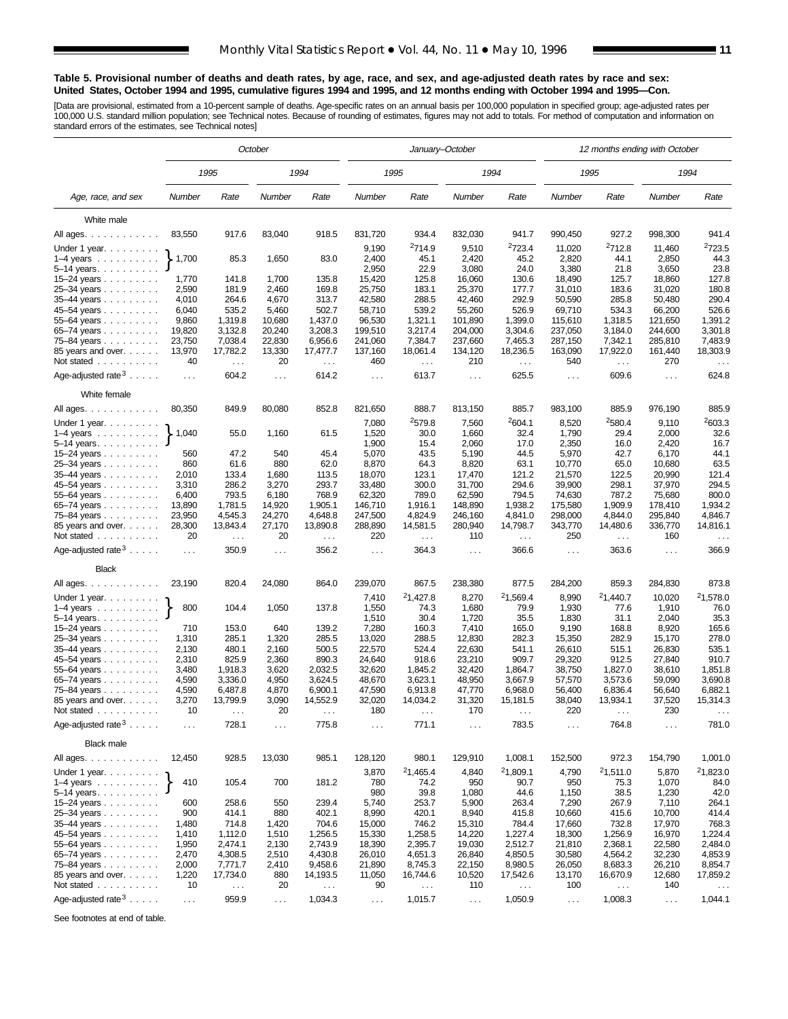#### **Table 5. Provisional number of deaths and death rates, by age, race, and sex, and age-adjusted death rates by race and sex: United States, October 1994 and 1995, cumulative figures 1994 and 1995, and 12 months ending with October 1994 and 1995—Con.**

[Data are provisional, estimated from a 10-percent sample of deaths. Age-specific rates on an annual basis per 100,000 population in specified group; age-adjusted rates per<br>100,000 U.S. standard million population; see Tec

|                                                          | October          |                        |                  |                   |                               | January-October        |                   |                               | 12 months ending with October |                      |                    |                               |  |  |
|----------------------------------------------------------|------------------|------------------------|------------------|-------------------|-------------------------------|------------------------|-------------------|-------------------------------|-------------------------------|----------------------|--------------------|-------------------------------|--|--|
|                                                          |                  | 1995                   |                  | 1994              |                               | 1995                   |                   | 1994                          |                               | 1995                 |                    | 1994                          |  |  |
| Age, race, and sex                                       | Number           | Rate                   | Number           | Rate              | Number                        | Rate                   | Number            | Rate                          | Number                        | Rate                 | Number             | Rate                          |  |  |
| White male                                               |                  |                        |                  |                   |                               |                        |                   |                               |                               |                      |                    |                               |  |  |
| All ages.                                                | 83,550           | 917.6                  | 83,040           | 918.5             | 831,720                       | 934.4                  | 832,030           | 941.7                         | 990,450                       | 927.2                | 998,300            | 941.4                         |  |  |
|                                                          |                  |                        |                  |                   |                               | 2714.9                 |                   |                               |                               |                      |                    | <sup>2</sup> 723.5            |  |  |
| Under 1 year.                                            | 1,700            | 85.3                   | 1,650            | 83.0              | 9,190<br>2,400                | 45.1                   | 9,510<br>2,420    | <sup>2</sup> 723.4<br>45.2    | 11,020<br>2,820               | 2712.8<br>44.1       | 11,460<br>2,850    | 44.3                          |  |  |
| $1-4$ years $\ldots$<br>$5 - 14$ years                   |                  |                        |                  |                   | 2,950                         | 22.9                   | 3,080             | 24.0                          | 3,380                         | 21.8                 | 3,650              | 23.8                          |  |  |
| 15-24 years                                              | 1,770            | 141.8                  | 1,700            | 135.8             | 15,420                        | 125.8                  | 16,060            | 130.6                         | 18,490                        | 125.7                | 18,860             | 127.8                         |  |  |
| 25-34 years                                              | 2,590            | 181.9                  | 2,460            | 169.8             | 25,750                        | 183.1                  | 25,370            | 177.7                         | 31,010                        | 183.6                | 31,020             | 180.8                         |  |  |
| 35-44 years                                              | 4,010            | 264.6                  | 4,670            | 313.7             | 42,580                        | 288.5                  | 42,460            | 292.9                         | 50,590                        | 285.8                | 50,480             | 290.4                         |  |  |
| 45-54 years                                              | 6,040            | 535.2                  | 5,460            | 502.7             | 58,710                        | 539.2                  | 55,260            | 526.9                         | 69,710                        | 534.3                | 66,200             | 526.6                         |  |  |
| 55-64 years                                              | 9,860            | 1,319.8                | 10,680           | 1,437.0           | 96,530                        | 1,321.1                | 101,890           | 1,399.0                       | 115,610                       | 1,318.5              | 121,650            | 1,391.2                       |  |  |
| 65–74 years                                              | 19,820           | 3,132.8                | 20,240           | 3,208.3           | 199,510                       | 3,217.4                | 204,000           | 3,304.6                       | 237,050                       | 3,184.0              | 244,600            | 3,301.8                       |  |  |
| 75-84 years                                              | 23,750           | 7,038.4                | 22,830           | 6,956.6           | 241,060                       | 7,384.7                | 237,660           | 7,465.3                       | 287,150                       | 7,342.1              | 285,810            | 7,483.9                       |  |  |
| 85 years and over.                                       | 13,970           | 17,782.2               | 13,330           | 17,477.7          | 137,160                       | 18,061.4               | 134,120           | 18,236.5                      | 163,090                       | 17,922.0             | 161,440            | 18,303.9                      |  |  |
| Not stated $\ldots$                                      | 40               | $\sim$ $\sim$          | 20               | $\sim$ .          | 460                           | $\ldots$               | 210               | $\sim$                        | 540                           | $\sim$ .             | 270                | $\sim$ $\sim$                 |  |  |
| Age-adjusted rate $3 \ldots$ .                           | $\sim$ $\sim$    | 604.2                  | $\sim$ $\sim$    | 614.2             | $\sim$ $\sim$                 | 613.7                  | $\sim 100$        | 625.5                         | $\sim 100$                    | 609.6                | $\sim$ $\sim$      | 624.8                         |  |  |
| White female                                             |                  |                        |                  |                   |                               |                        |                   |                               |                               |                      |                    |                               |  |  |
| All ages.                                                | 80,350           | 849.9                  | 80,080           | 852.8             | 821,650                       | 888.7                  | 813,150           | 885.7                         | 983,100                       | 885.9                | 976,190            | 885.9                         |  |  |
| Under 1 year. $\ldots$                                   |                  |                        |                  |                   | 7,080                         | 2579.8                 | 7,560             | <sup>2</sup> 604.1            | 8,520                         | 2580.4               | 9,110              | 2603.3                        |  |  |
| $1-4$ years                                              | 1,040            | 55.0                   | 1,160            | 61.5              | 1,520                         | 30.0                   | 1,660             | 32.4                          | 1,790                         | 29.4                 | 2,000              | 32.6                          |  |  |
| $5 - 14$ years                                           |                  |                        |                  |                   | 1,900                         | 15.4                   | 2,060             | 17.0                          | 2,350                         | 16.0                 | 2,420              | 16.7                          |  |  |
| 15–24 years $\ldots$                                     | 560              | 47.2                   | 540              | 45.4              | 5,070                         | 43.5                   | 5,190             | 44.5                          | 5,970                         | 42.7                 | 6,170              | 44.1                          |  |  |
| 25-34 years                                              | 860              | 61.6                   | 880              | 62.0              | 8,870                         | 64.3                   | 8,820             | 63.1                          | 10.770                        | 65.0                 | 10,680             | 63.5                          |  |  |
| 35-44 years                                              | 2,010            | 133.4                  | 1,680            | 113.5             | 18,070                        | 123.1                  | 17,470            | 121.2                         | 21,570                        | 122.5                | 20,990             | 121.4                         |  |  |
| 45-54 years                                              | 3,310            | 286.2                  | 3,270            | 293.7             | 33,480                        | 300.0                  | 31,700            | 294.6                         | 39,900                        | 298.1                | 37,970             | 294.5                         |  |  |
| 55-64 years                                              | 6,400            | 793.5<br>1,781.5       | 6,180            | 768.9<br>1.905.1  | 62,320<br>146,710             | 789.0                  | 62,590<br>148,890 | 794.5                         | 74,630<br>175,580             | 787.2<br>1.909.9     | 75,680             | 800.0<br>1,934.2              |  |  |
| 65-74 years<br>75-84 years                               | 13,890<br>23,950 | 4,545.3                | 14,920<br>24,270 | 4,648.8           | 247,500                       | 1,916.1<br>4,824.9     | 246,160           | 1,938.2<br>4,841.0            | 298,000                       | 4,844.0              | 178,410<br>295,840 | 4,846.7                       |  |  |
| 85 years and over.<br>Not stated                         | 28,300<br>20     | 13,843.4               | 27,170<br>20     | 13,890.8          | 288,890<br>220                | 14,581.5               | 280,940<br>110    | 14,798.7                      | 343,770<br>250                | 14,480.6             | 336,770<br>160     | 14,816.1                      |  |  |
| Age-adjusted rate $3 \ldots$ .                           | $\sim$ $\sim$    | $\sim$ $\sim$<br>350.9 | $\sim$ $\sim$    | $\ldots$<br>356.2 | $\sim$ $\sim$                 | $\sim$ $\sim$<br>364.3 | $\cdots$          | $\sim$ $\sim$ $\sim$<br>366.6 | $\sim$ $\sim$                 | $\ldots$<br>363.6    | $\cdots$           | $\sim$ $\sim$ $\sim$<br>366.9 |  |  |
| <b>Black</b>                                             |                  |                        |                  |                   |                               |                        |                   |                               |                               |                      |                    |                               |  |  |
| All ages.                                                | 23,190           | 820.4                  | 24,080           | 864.0             | 239,070                       | 867.5                  | 238,380           | 877.5                         | 284,200                       | 859.3                | 284,830            | 873.8                         |  |  |
| Under 1 year.                                            |                  |                        |                  |                   | 7,410                         | 21,427.8               | 8,270             | 21,569.4                      | 8,990                         | <sup>2</sup> 1,440.7 | 10,020             | 21,578.0                      |  |  |
| $1-4$ years $\ldots$ $\ldots$ $\ldots$<br>$5 - 14$ years | 800              | 104.4                  | 1,050            | 137.8             | 1,550<br>1,510                | 74.3<br>30.4           | 1,680<br>1,720    | 79.9<br>35.5                  | 1,930<br>1,830                | 77.6<br>31.1         | 1,910<br>2,040     | 76.0<br>35.3                  |  |  |
| 15-24 years                                              | 710              | 153.0                  | 640              | 139.2             | 7,280                         | 160.3                  | 7,410             | 165.0                         | 9,190                         | 168.8                | 8,920              | 165.6                         |  |  |
| 25-34 years                                              | 1,310            | 285.1                  | 1,320            | 285.5             | 13,020                        | 288.5                  | 12,830            | 282.3                         | 15,350                        | 282.9                | 15,170             | 278.0                         |  |  |
| 35-44 years                                              | 2,130            | 480.1                  | 2,160            | 500.5             | 22,570                        | 524.4                  | 22,630            | 541.1                         | 26,610                        | 515.1                | 26,830             | 535.1                         |  |  |
| 45–54 years                                              | 2,310            | 825.9                  | 2,360            | 890.3             | 24,640                        | 918.6                  | 23,210            | 909.7                         | 29,320                        | 912.5                | 27,840             | 910.7                         |  |  |
| 55-64 years                                              | 3,480            | 1,918.3                | 3,620            | 2,032.5           | 32,620                        | 1,845.2                | 32,420            | 1,864.7                       | 38,750                        | 1,827.0              | 38,610             | 1,851.8                       |  |  |
| 65-74 years                                              | 4,590            | 3,336.0                | 4,950            | 3,624.5           | 48,670                        | 3,623.1                | 48,950            | 3,667.9                       | 57,570                        | 3,573.6              | 59,090             | 3,690.8                       |  |  |
| 75-84 years                                              | 4,590            | 6,487.8                | 4,870            | 6,900.1           | 47,590                        | 6,913.8                | 47,770            | 6,968.0                       | 56,400                        | 6,836.4              | 56,640             | 6,882.1                       |  |  |
| 85 years and over.                                       | 3,270            | 13,799.9               | 3,090            | 14,552.9          | 32,020                        | 14,034.2               | 31,320            | 15,181.5                      | 38,040                        | 13,934.1             | 37,520             | 15,314.3                      |  |  |
| Not stated $\ldots$                                      | 10               |                        | 20               |                   | 180                           |                        | 170               |                               | 220                           |                      | 230                |                               |  |  |
| Age-adjusted rate $3 \ldots$ .                           | $\ldots$ .       | 728.1                  | $\ldots$ .       | 775.8             | $\ldots$                      | 771.1                  | $\sim$ $\sim$     | 783.5                         | $\sim$ $\sim$                 | 764.8                | $\cdots$           | 781.0                         |  |  |
| <b>Black male</b>                                        |                  |                        |                  |                   |                               |                        |                   |                               |                               |                      |                    |                               |  |  |
| All ages.                                                | 12,450           | 928.5                  | 13,030           | 985.1             | 128,120                       | 980.1                  | 129,910           | 1,008.1                       | 152,500                       | 972.3                | 154,790            | 1,001.0                       |  |  |
| Under 1 year. $\ldots$                                   |                  |                        |                  |                   | 3,870                         | <sup>2</sup> 1,465.4   | 4,840             | <sup>2</sup> 1,809.1          | 4,790                         | <sup>2</sup> 1,511.0 | 5,870              | 21,823.0                      |  |  |
| $1-4$ years $\ldots \ldots \ldots$                       | 410              | 105.4                  | 700              | 181.2             | 780                           | 74.2                   | 950               | 90.7                          | 950                           | 75.3                 | 1,070              | 84.0                          |  |  |
| $5-14$ years. $\ldots$                                   |                  |                        |                  |                   | 980                           | 39.8                   | 1,080             | 44.6                          | 1,150                         | 38.5                 | 1,230              | 42.0                          |  |  |
| 15–24 years                                              | 600              | 258.6                  | 550              | 239.4             | 5,740                         | 253.7                  | 5,900             | 263.4                         | 7,290                         | 267.9                | 7,110              | 264.1                         |  |  |
| 25-34 years                                              | 900              | 414.1                  | 880              | 402.1             | 8,990                         | 420.1                  | 8,940             | 415.8                         | 10,660                        | 415.6                | 10,700             | 414.4                         |  |  |
| 35-44 years                                              | 1,480            | 714.8                  | 1,420            | 704.6             | 15,000                        | 746.2                  | 15,310            | 784.4                         | 17,660                        | 732.8                | 17,970             | 768.3                         |  |  |
| 45-54 years                                              | 1,410            | 1,112.0                | 1,510            | 1,256.5           | 15,330                        | 1,258.5                | 14,220            | 1,227.4                       | 18,300                        | 1,256.9              | 16,970             | 1,224.4                       |  |  |
| 55-64 years                                              | 1,950            | 2,474.1                | 2,130            | 2,743.9           | 18,390                        | 2,395.7                | 19,030            | 2,512.7                       | 21,810                        | 2,368.1              | 22,580             | 2,484.0                       |  |  |
| 65-74 years                                              | 2,470            | 4,308.5                | 2,510            | 4,430.8           | 26,010                        | 4,651.3                | 26,840            | 4,850.5                       | 30,580                        | 4,564.2              | 32,230             | 4,853.9                       |  |  |
| 75-84 years                                              | 2,000            | 7,771.7                | 2,410            | 9,458.6           | 21,890                        | 8,745.3                | 22,150            | 8,980.5                       | 26,050                        | 8,683.3              | 26,210             | 8,854.7                       |  |  |
| 85 years and over.                                       | 1,220            | 17,734.0               | 880              | 14,193.5          | 11,050                        | 16,744.6               | 10,520            | 17,542.6                      | 13,170                        | 16,670.9             | 12,680             | 17,859.2                      |  |  |
| Not stated                                               | 10               | $\sim$ $\sim$          | 20               | $\sim$ $\sim$     | 90                            | $\sim$ $\sim$          | 110               | $\sim$ $\sim$                 | 100                           | $\sim$ $\sim$        | 140                | $\sim$ $\sim$                 |  |  |
| Age-adjusted rate $3 \ldots$ .                           | $\sim$ $\sim$    | 959.9                  | $\sim$ $\sim$    | 1,034.3           | $\mathcal{L}^{\mathcal{L}}$ . | 1,015.7                | $\sim$ $\sim$     | 1,050.9                       | $\sim$ $\sim$                 | 1,008.3              | $\sim$ $\sim$      | 1,044.1                       |  |  |

See footnotes at end of table.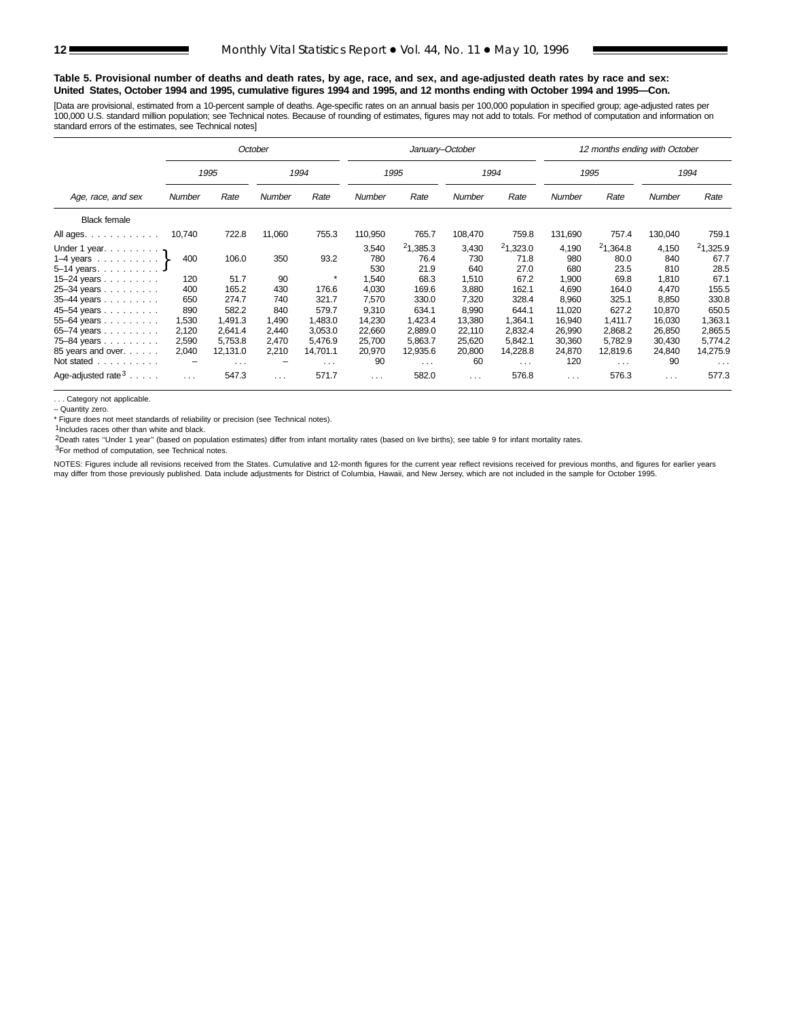#### **Table 5. Provisional number of deaths and death rates, by age, race, and sex, and age-adjusted death rates by race and sex: United States, October 1994 and 1995, cumulative figures 1994 and 1995, and 12 months ending with October 1994 and 1995—Con.**

[Data are provisional, estimated from a 10-percent sample of deaths. Age-specific rates on an annual basis per 100,000 population in specified group; age-adjusted rates per 100,000 U.S. standard million population; see Technical notes. Because of rounding of estimates, figures may not add to totals. For method of computation and information on standard errors of the estimates, see Technical notes]

|                                  |                                  |                         | October  |               |          | January-October |          |          |          | 12 months ending with October |                      |                      |
|----------------------------------|----------------------------------|-------------------------|----------|---------------|----------|-----------------|----------|----------|----------|-------------------------------|----------------------|----------------------|
|                                  |                                  | 1995                    |          | 1994          |          | 1995            |          | 1994     |          | 1995                          |                      | 1994                 |
| Age, race, and sex               | Rate<br>Number<br>Rate<br>Number |                         |          | <b>Number</b> | Rate     | Number          | Rate     | Number   | Rate     | <b>Number</b>                 | Rate                 |                      |
| <b>Black female</b>              |                                  |                         |          |               |          |                 |          |          |          |                               |                      |                      |
| All ages.                        | 10,740                           | 722.8                   | 11,060   | 755.3         | 110,950  | 765.7           | 108,470  | 759.8    | 131,690  | 757.4                         | 130,040              | 759.1                |
| Under 1 year. $\ldots$           |                                  |                         |          |               | 3,540    | 21,385.3        | 3,430    | 21,323.0 | 4,190    | 21,364.8                      | 4,150                | 21,325.9             |
| 1–4 years $\ldots$ $\ldots$ $\}$ | 400                              | 106.0                   | 350      | 93.2          | 780      | 76.4            | 730      | 71.8     | 980      | 80.0                          | 840                  | 67.7                 |
| $5 - 14$ years.                  |                                  |                         |          |               | 530      | 21.9            | 640      | 27.0     | 680      | 23.5                          | 810                  | 28.5                 |
| 15-24 years                      | 120                              | 51.7                    | 90       |               | 1,540    | 68.3            | 1,510    | 67.2     | 1,900    | 69.8                          | 1,810                | 67.1                 |
| 25-34 years                      | 400                              | 165.2                   | 430      | 176.6         | 4,030    | 169.6           | 3,880    | 162.1    | 4,690    | 164.0                         | 4,470                | 155.5                |
| 35-44 years                      | 650                              | 274.7                   | 740      | 321.7         | 7,570    | 330.0           | 7,320    | 328.4    | 8,960    | 325.1                         | 8,850                | 330.8                |
| 45-54 years                      | 890                              | 582.2                   | 840      | 579.7         | 9,310    | 634.1           | 8,990    | 644.1    | 11,020   | 627.2                         | 10,870               | 650.5                |
| $55 - 64$ years                  | 1,530                            | 1.491.3                 | 1,490    | 1.483.0       | 14,230   | 1,423.4         | 13,380   | 1,364.1  | 16,940   | 1.411.7                       | 16,030               | 1,363.1              |
| 65-74 years                      | 2,120                            | 2.641.4                 | 2.440    | 3.053.0       | 22,660   | 2.889.0         | 22,110   | 2,832.4  | 26,990   | 2,868.2                       | 26,850               | 2,865.5              |
| 75-84 years                      | 2,590                            | 5,753.8                 | 2,470    | 5,476.9       | 25,700   | 5,863.7         | 25,620   | 5,842.1  | 30,360   | 5,782.9                       | 30,430               | 5,774.2              |
| 85 years and over.               | 2,040                            | 12,131.0                | 2,210    | 14,701.1      | 20,970   | 12,935.6        | 20,800   | 14,228.8 | 24,870   | 12,819.6                      | 24,840               | 14,275.9             |
| Not stated<br>.                  | $\qquad \qquad -$                | $\cdot$ $\cdot$ $\cdot$ | -        | $\sim 100$    | 90       | $\cdots$        | 60       | $\cdots$ | 120      | $\sim$ $\sim$ $\sim$          | 90                   | $\sim$ $\sim$ $\sim$ |
| Age-adjusted rate $3 \ldots$ .   | $\sim$ $\sim$ $\sim$             | 547.3                   | $\cdots$ | 571.7         | $\cdots$ | 582.0           | $\cdots$ | 576.8    | $\cdots$ | 576.3                         | $\sim$ $\sim$ $\sim$ | 577.3                |

. . . Category not applicable.

– Quantity zero.

\* Figure does not meet standards of reliability or precision (see Technical notes).

 $1$ Includes races other than white and black.

2Death rates ''Under 1 year'' (based on population estimates) differ from infant mortality rates (based on live births); see table 9 for infant mortality rates.

3For method of computation, see Technical notes.

NOTES: Figures include all revisions received from the States. Cumulative and 12-month figures for the current year reflect revisions received for previous months, and figures for earlier years may differ from those previously published. Data include adjustments for District of Columbia, Hawaii, and New Jersey, which are not included in the sample for October 1995.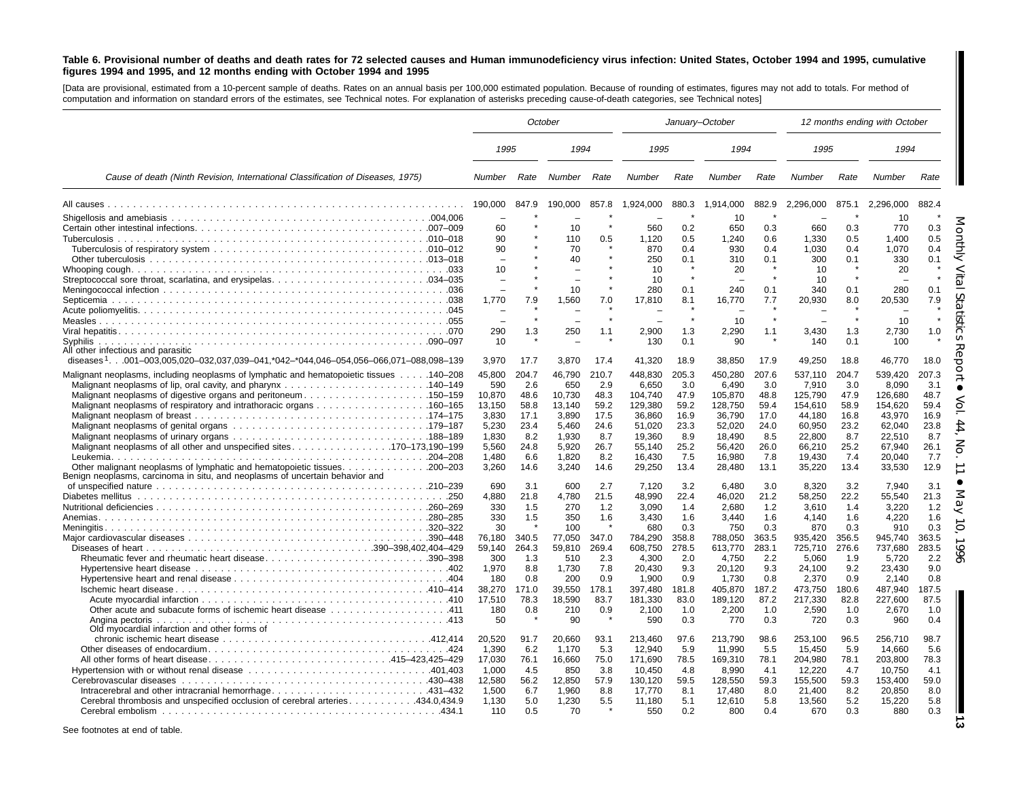#### Table 6. Provisional number of deaths and death rates for 72 selected causes and Human immunodeficiency virus infection: United States, October 1994 and 1995, cumulative figures 1994 and 1995, and 12 months ending with October 1994 and 1995

[Data are provisional, estimated from <sup>a</sup> 10-percent sample of deaths. Rates on an annual basis per 100,000 estimated population. Because of rounding of estimates, figures may not add to totals. For method of computation and information on standard errors of the estimates, see Technical notes. For explanation of asterisks preceding cause-of-death categories, see Technical notes]

|                                                                                                                                                                                                                                                                                                      | October                                                               |                                                             |                                                                       |                                                             | January-October                                                                |                                                             |                                                                                |                                                             |                                                                                |                                                             | 12 months ending with October                                                  |                                                             |
|------------------------------------------------------------------------------------------------------------------------------------------------------------------------------------------------------------------------------------------------------------------------------------------------------|-----------------------------------------------------------------------|-------------------------------------------------------------|-----------------------------------------------------------------------|-------------------------------------------------------------|--------------------------------------------------------------------------------|-------------------------------------------------------------|--------------------------------------------------------------------------------|-------------------------------------------------------------|--------------------------------------------------------------------------------|-------------------------------------------------------------|--------------------------------------------------------------------------------|-------------------------------------------------------------|
|                                                                                                                                                                                                                                                                                                      | 1995                                                                  |                                                             | 1994                                                                  |                                                             | 1995                                                                           |                                                             | 1994                                                                           |                                                             | 1995                                                                           |                                                             | 1994                                                                           |                                                             |
| Cause of death (Ninth Revision, International Classification of Diseases, 1975)                                                                                                                                                                                                                      | Number Rate                                                           |                                                             | Number Rate                                                           |                                                             | Number                                                                         | Rate                                                        | Number                                                                         | Rate                                                        | Number                                                                         | Rate                                                        | Number                                                                         | Rate                                                        |
|                                                                                                                                                                                                                                                                                                      | 190,000                                                               | 847.9                                                       | 190,000                                                               | 857.8                                                       | 1,924,000                                                                      | 880.3                                                       | 1,914,000                                                                      | 882.9                                                       | 2,296,000                                                                      | 875.1                                                       | 2,296,000                                                                      | 882.4                                                       |
|                                                                                                                                                                                                                                                                                                      | 60<br>90                                                              |                                                             | 10<br>110                                                             | 0.5                                                         | 560<br>1,120                                                                   | 0.2<br>0.5                                                  | 10<br>650<br>1,240                                                             | 0.3<br>0.6                                                  | 660<br>1,330                                                                   | 0.3<br>0.5                                                  | 10<br>770<br>1,400                                                             | 0.3<br>0.5                                                  |
|                                                                                                                                                                                                                                                                                                      | 90<br>$\overline{\phantom{a}}$<br>10                                  |                                                             | 70<br>40<br>$\overline{\phantom{0}}$                                  |                                                             | 870<br>250<br>10                                                               | 0.4<br>0.1                                                  | 930<br>310<br>20                                                               | 0.4<br>0.1                                                  | 1,030<br>300<br>10                                                             | 0.4<br>0.1                                                  | 1,070<br>330<br>20                                                             | 0.4<br>0.1                                                  |
|                                                                                                                                                                                                                                                                                                      | 1.770                                                                 | 7.9                                                         | 10<br>1.560                                                           | 7.0                                                         | 10 <sup>1</sup><br>280<br>17.810                                               | 0.1<br>8.1                                                  | 240<br>16.770                                                                  | 0.1<br>7.7                                                  | 10<br>340<br>20,930                                                            | 0.1<br>8.0                                                  | 280<br>20.530                                                                  | 0.1<br>7.9                                                  |
| Svphilis                                                                                                                                                                                                                                                                                             | 290<br>10 <sup>1</sup>                                                | 1.3                                                         | 250                                                                   | 1.1                                                         | 2,900<br>130                                                                   | 1.3<br>0.1                                                  | 10<br>2,290<br>90                                                              | 1.1                                                         | 3,430<br>140                                                                   | 1.3<br>0.1                                                  | 10<br>2,730<br>100                                                             | 1.0                                                         |
| All other infectious and parasitic<br>diseases <sup>1</sup> 001-003,005,020-032,037,039-041,*042-*044,046-054,056-066,071-088,098-139                                                                                                                                                                | 3,970                                                                 | 17.7                                                        | 3,870                                                                 | 17.4                                                        | 41,320                                                                         | 18.9                                                        | 38,850                                                                         | 17.9                                                        | 49,250                                                                         | 18.8                                                        | 46,770                                                                         | සි<br>18.0                                                  |
| 140–208. 140–208 Malignant neoplasms of lymphatic and hematopoietic tissues 140–208<br>Malignant neoplasms of digestive organs and peritoneum150–159<br>Malignant neoplasms of respiratory and intrathoracic organs 160–165<br>Malignant neoplasms of all other and unspecified sites170–173,190–199 | 45,800<br>590<br>10,870<br>13,150<br>3,830<br>5,230<br>1,830<br>5,560 | 204.7<br>2.6<br>48.6<br>58.8<br>17.1<br>23.4<br>8.2<br>24.8 | 46,790<br>650<br>10,730<br>13.140<br>3,890<br>5,460<br>1,930<br>5,920 | 210.7<br>2.9<br>48.3<br>59.2<br>17.5<br>24.6<br>8.7<br>26.7 | 448,830<br>6,650<br>104,740<br>129,380<br>36,860<br>51,020<br>19,360<br>55,140 | 205.3<br>3.0<br>47.9<br>59.2<br>16.9<br>23.3<br>8.9<br>25.2 | 450,280<br>6,490<br>105,870<br>128,750<br>36,790<br>52,020<br>18,490<br>56,420 | 207.6<br>3.0<br>48.8<br>59.4<br>17.0<br>24.0<br>8.5<br>26.0 | 537,110<br>7,910<br>125,790<br>154,610<br>44,180<br>60,950<br>22,800<br>66,210 | 204.7<br>3.0<br>47.9<br>58.9<br>16.8<br>23.2<br>8.7<br>25.2 | 539,420<br>8,090<br>126,680<br>154.620<br>43,970<br>62,040<br>22,510<br>67,940 | 207.3<br>3.1<br>48.7<br>59.4<br>16.9<br>23.8<br>8.7<br>26.1 |
| Other malignant neoplasms of lymphatic and hematopoietic tissues<br>$.200 - 203$<br>Benign neoplasms, carcinoma in situ, and neoplasms of uncertain behavior and                                                                                                                                     | 1.480<br>3.260<br>690                                                 | 6.6<br>14.6<br>3.1                                          | 1,820<br>3,240<br>600                                                 | 8.2<br>14.6<br>2.7                                          | 16,430<br>29,250<br>7.120                                                      | 7.5<br>13.4<br>3.2                                          | 16,980<br>28,480<br>6.480                                                      | 7.8<br>13.1<br>3.0                                          | 19,430<br>35,220<br>8.320                                                      | 7.4<br>13.4<br>3.2                                          | 20.040<br>33,530<br>7.940                                                      | 7.7<br>12.9<br>3.1                                          |
|                                                                                                                                                                                                                                                                                                      | 4,880<br>330<br>330<br>30                                             | 21.8<br>1.5<br>1.5                                          | 4,780<br>270<br>350<br>100                                            | 21.5<br>1.2<br>1.6                                          | 48,990<br>3,090<br>3,430<br>680                                                | 22.4<br>1.4<br>1.6<br>0.3                                   | 46,020<br>2,680<br>3,440<br>750                                                | 21.2<br>1.2<br>1.6<br>0.3                                   | 58,250<br>3,610<br>4,140<br>870                                                | 22.2<br>1.4<br>1.6<br>0.3                                   | 55,540<br>3,220<br>4,220<br>910                                                | 21.3<br>1.2<br>1.6<br>0.3                                   |
|                                                                                                                                                                                                                                                                                                      | 76,180<br>59,140<br>300<br>1,970                                      | 340.5<br>264.3<br>1.3<br>8.8                                | 77,050<br>59.810<br>510<br>1,730                                      | 347.0<br>269.4<br>2.3<br>7.8                                | 784,290<br>608,750<br>4,300<br>20,430                                          | 358.8<br>278.5<br>2.0<br>9.3                                | 788,050<br>613.770<br>4,750<br>20,120                                          | 363.5<br>283.1<br>2.2<br>9.3                                | 935,420<br>725,710<br>5,060<br>24,100                                          | 356.5<br>276.6<br>1.9<br>9.2                                | 945,740<br>737.680<br>5,720<br>23,430                                          | 363.5<br>283.5<br>2.2<br>9.0                                |
| 111. 411 Other acute and subacute forms of ischemic heart disease 411                                                                                                                                                                                                                                | 180<br>38,270<br>17,510<br>180<br>50                                  | 0.8<br>171.0<br>78.3<br>0.8                                 | 200<br>39,550<br>18,590<br>210<br>90                                  | 0.9<br>178.1<br>83.7<br>0.9                                 | 1,900<br>397,480<br>181,330<br>2,100<br>590                                    | 0.9<br>181.8<br>83.0<br>1.0<br>0.3                          | 1,730<br>405,870<br>189,120<br>2,200<br>770                                    | 0.8<br>187.2<br>87.2<br>1.0<br>0.3                          | 2,370<br>473,750<br>217,330<br>2,590<br>720                                    | 0.9<br>180.6<br>82.8<br>1.0<br>0.3                          | 2,140<br>487,940<br>227,600<br>2,670<br>960                                    | 0.8<br>187.5<br>87.5<br>1.0<br>0.4                          |
| Old myocardial infarction and other forms of<br>Intracerebral and other intracranial hemorrhage431-432<br>Cerebral thrombosis and unspecified occlusion of cerebral arteries434.0,434.9                                                                                                              | 20,520<br>1.390<br>17.030<br>1.000<br>12,580<br>1.500<br>1,130        | 91.7<br>6.2<br>76.1<br>4.5<br>56.2<br>6.7<br>5.0            | 20,660<br>1.170<br>16,660<br>850<br>12,850<br>1.960<br>1,230          | 93.1<br>5.3<br>75.0<br>3.8<br>57.9<br>8.8<br>5.5            | 213.460<br>12.940<br>171,690<br>10.450<br>130.120<br>17.770<br>11,180          | 97.6<br>5.9<br>78.5<br>4.8<br>59.5<br>8.1<br>5.1            | 213,790<br>11,990<br>169,310<br>8,990<br>128,550<br>17.480<br>12,610           | 98.6<br>5.5<br>78.1<br>4.1<br>59.3<br>8.0<br>5.8            | 253,100<br>15,450<br>204,980<br>12,220<br>155,500<br>21.400<br>13,560          | 96.5<br>5.9<br>78.1<br>4.7<br>59.3<br>8.2<br>5.2            | 256,710<br>14.660<br>203,800<br>10.750<br>153,400<br>20.850<br>15,220          | 98.7<br>5.6<br>78.3<br>4.1<br>59.0<br>8.0<br>5.8            |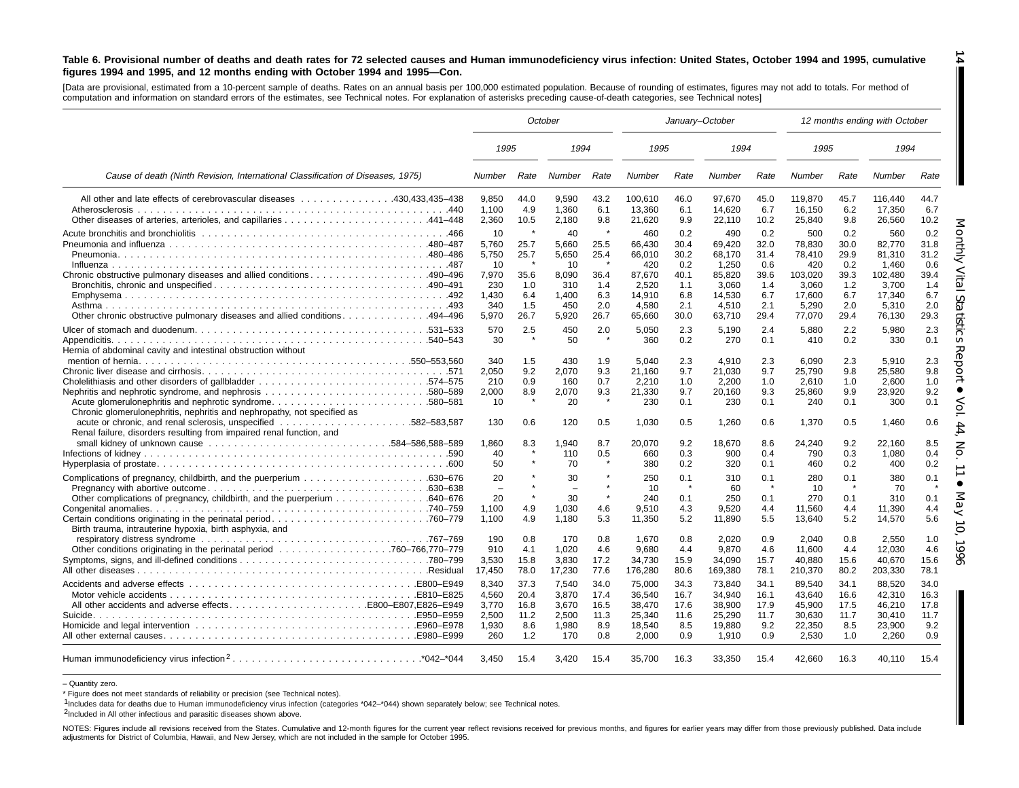#### Table 6. Provisional number of deaths and death rates for 72 selected causes and Human immunodeficiency virus infection: United States, October 1994 and 1995, cumulative figures 1994 and 1995, and 12 months ending with October 1994 and 1995-Con.

[Data are provisional, estimated from <sup>a</sup> 10-percent sample of deaths. Rates on an annual basis per 100,000 estimated population. Because of rounding of estimates, figures may not add to totals. For method of computation and information on standard errors of the estimates, see Technical notes. For explanation of asterisks preceding cause-of-death categories, see Technical notes]

|                                                                                                                                                                                              | October                                                             |                                                        |                                                                     |                                                              |                                                                                | January-October                                                 |                                                                                  |                                                                 |                                                                                 | 12 months ending with October                                   |                                                                                   |                                                                 |  |
|----------------------------------------------------------------------------------------------------------------------------------------------------------------------------------------------|---------------------------------------------------------------------|--------------------------------------------------------|---------------------------------------------------------------------|--------------------------------------------------------------|--------------------------------------------------------------------------------|-----------------------------------------------------------------|----------------------------------------------------------------------------------|-----------------------------------------------------------------|---------------------------------------------------------------------------------|-----------------------------------------------------------------|-----------------------------------------------------------------------------------|-----------------------------------------------------------------|--|
|                                                                                                                                                                                              | 1995                                                                |                                                        | 1994                                                                |                                                              | 1995                                                                           |                                                                 | 1994                                                                             |                                                                 | 1995                                                                            |                                                                 | 1994                                                                              |                                                                 |  |
| Cause of death (Ninth Revision, International Classification of Diseases, 1975)                                                                                                              | <b>Number</b>                                                       | Rate                                                   | Number                                                              | Rate                                                         | Number                                                                         | Rate                                                            | Number                                                                           | Rate                                                            | <b>Number</b>                                                                   | Rate                                                            | Number                                                                            | Rate                                                            |  |
| All other and late effects of cerebrovascular diseases 430.433.435–438                                                                                                                       | 9.850<br>1,100<br>2,360                                             | 44.0<br>4.9<br>10.5                                    | 9,590<br>1,360<br>2,180                                             | 43.2<br>6.1<br>9.8                                           | 100.610<br>13,360<br>21,620                                                    | 46.0<br>6.1<br>9.9                                              | 97.670<br>14,620<br>22,110                                                       | 45.0<br>6.7<br>10.2                                             | 119.870<br>16,150<br>25,840                                                     | 45.7<br>6.2<br>9.8                                              | 116.440<br>17,350<br>26,560                                                       | 44.7<br>6.7<br>10.2                                             |  |
| Chronic obstructive pulmonary diseases and allied conditions 490–496<br>Other chronic obstructive pulmonary diseases and allied conditions494–496                                            | 10<br>5,760<br>5,750<br>10<br>7,970<br>230<br>1.430<br>340<br>5,970 | ×<br>25.7<br>25.7<br>35.6<br>1.0<br>6.4<br>1.5<br>26.7 | 40<br>5,660<br>5,650<br>10<br>8,090<br>310<br>1.400<br>450<br>5,920 | $\star$<br>25.5<br>25.4<br>36.4<br>1.4<br>6.3<br>2.0<br>26.7 | 460<br>66,430<br>66,010<br>420<br>87.670<br>2,520<br>14.910<br>4,580<br>65.660 | 0.2<br>30.4<br>30.2<br>0.2<br>40.1<br>1.1<br>6.8<br>2.1<br>30.0 | 490<br>69,420<br>68.170<br>1,250<br>85.820<br>3,060<br>14.530<br>4,510<br>63,710 | 0.2<br>32.0<br>31.4<br>0.6<br>39.6<br>1.4<br>6.7<br>2.1<br>29.4 | 500<br>78,830<br>78,410<br>420<br>103.020<br>3.060<br>17.600<br>5,290<br>77,070 | 0.2<br>30.0<br>29.9<br>0.2<br>39.3<br>1.2<br>6.7<br>2.0<br>29.4 | 560<br>82,770<br>81,310<br>1.460<br>102,480<br>3,700<br>17.340<br>5,310<br>76,130 | 0.2<br>31.8<br>31.2<br>0.6<br>39.4<br>1.4<br>6.7<br>2.0<br>29.3 |  |
| Hernia of abdominal cavity and intestinal obstruction without                                                                                                                                | 570<br>30                                                           | 2.5                                                    | 450<br>50                                                           | 2.0<br>$\star$                                               | 5,050<br>360                                                                   | 2.3<br>0.2                                                      | 5,190<br>270                                                                     | 2.4<br>0.1                                                      | 5,880<br>410                                                                    | 2.2<br>0.2                                                      | 5,980<br>330                                                                      | 2.3<br>0.1                                                      |  |
| Nephritis and nephrotic syndrome, and nephrosis 580–589<br>Acute glomerulonephritis and nephrotic syndrome580–581<br>Chronic glomerulonephritis, nephritis and nephropathy, not specified as | 340<br>2.050<br>210<br>2,000<br>10                                  | 1.5<br>9.2<br>0.9<br>8.9                               | 430<br>2,070<br>160<br>2,070<br>20                                  | 1.9<br>9.3<br>0.7<br>9.3<br>$\star$                          | 5.040<br>21.160<br>2,210<br>21,330<br>230                                      | 2.3<br>9.7<br>1.0<br>9.7<br>0.1                                 | 4.910<br>21.030<br>2,200<br>20.160<br>230                                        | 2.3<br>9.7<br>1.0<br>9.3<br>0.1                                 | 6.090<br>25.790<br>2,610<br>25,860<br>240                                       | 2.3<br>9.8<br>1.0<br>9.9<br>0.1                                 | 5.910<br>25.580<br>2,600<br>23,920<br>300                                         | 2.3<br>9.8<br>1.0<br>9.2<br>0.1                                 |  |
| Renal failure, disorders resulting from impaired renal function, and                                                                                                                         | 130                                                                 | 0.6                                                    | 120                                                                 | 0.5<br>8.7                                                   | 1.030                                                                          | 0.5<br>9.2                                                      | 1.260                                                                            | 0.6                                                             | 1.370                                                                           | 0.5<br>9.2                                                      | 1.460                                                                             | 0.6                                                             |  |
|                                                                                                                                                                                              | 1,860<br>40<br>50                                                   | 8.3                                                    | 1,940<br>110<br>70                                                  | 0.5                                                          | 20,070<br>660<br>380                                                           | 0.3<br>0.2                                                      | 18,670<br>900<br>320                                                             | 8.6<br>0.4<br>0.1                                               | 24.240<br>790<br>460                                                            | 0.3<br>0.2                                                      | 22,160<br>1,080<br>400                                                            | 8.5<br>0.4<br>0.2                                               |  |
|                                                                                                                                                                                              | 20<br>$\sim$<br>20<br>1,100                                         | 4.9                                                    | 30<br>$\equiv$<br>30<br>1,030                                       | 4.6                                                          | 250<br>10<br>240<br>9,510                                                      | 0.1<br>$\star$<br>0.1<br>4.3                                    | 310<br>60<br>250<br>9,520                                                        | 0.1<br>0.1<br>4.4                                               | 280<br>10<br>270<br>11,560                                                      | 0.1<br>$\star$<br>0.1<br>4.4                                    | 380<br>70<br>310<br>11,390                                                        | 0.1<br>$\star$<br>0.1<br>4.4                                    |  |
| Birth trauma, intrauterine hypoxia, birth asphyxia, and                                                                                                                                      | 1.100<br>190<br>910<br>3,530<br>17,450                              | 4.9<br>0.8<br>4.1<br>15.8<br>78.0                      | 1,180<br>170<br>1.020<br>3.830<br>17,230                            | 5.3<br>0.8<br>4.6<br>17.2<br>77.6                            | 11,350<br>1,670<br>9.680<br>34.730<br>176,280                                  | 5.2<br>0.8<br>4.4<br>15.9<br>80.6                               | 11,890<br>2,020<br>9,870<br>34.090<br>169,380                                    | 5.5<br>0.9<br>4.6<br>15.7<br>78.1                               | 13,640<br>2.040<br>11,600<br>40.880<br>210,370                                  | 5.2<br>0.8<br>4.4<br>15.6<br>80.2                               | 14,570<br>2,550<br>12,030<br>40.670<br>203,330                                    | 5.6<br>1.0<br>4.6<br>15.6<br>78.1                               |  |
|                                                                                                                                                                                              | 8,340<br>4,560<br>3.770<br>2,500                                    | 37.3<br>20.4<br>16.8<br>11.2                           | 7,540<br>3,870<br>3.670<br>2,500                                    | 34.0<br>17.4<br>16.5<br>11.3                                 | 75,000<br>36.540<br>38.470<br>25,340                                           | 34.3<br>16.7<br>17.6<br>11.6                                    | 73,840<br>34.940<br>38.900<br>25,290                                             | 34.1<br>16.1<br>17.9<br>11.7                                    | 89,540<br>43.640<br>45,900<br>30,630                                            | 34.1<br>16.6<br>17.5<br>11.7                                    | 88,520<br>42,310<br>46.210<br>30,410                                              | 34.0<br>16.3<br>17.8<br>11.7                                    |  |
|                                                                                                                                                                                              | 1,930<br>260                                                        | 8.6<br>1.2                                             | 1,980<br>170                                                        | 8.9<br>0.8                                                   | 18,540<br>2,000                                                                | 8.5<br>0.9                                                      | 19.880<br>1,910                                                                  | 9.2<br>0.9                                                      | 22.350<br>2,530                                                                 | 8.5<br>1.0                                                      | 23,900<br>2,260                                                                   | 9.2<br>0.9                                                      |  |
|                                                                                                                                                                                              | 3.450                                                               | 15.4                                                   | 3,420                                                               | 15.4                                                         | 35,700                                                                         | 16.3                                                            | 33,350                                                                           | 15.4                                                            | 42.660                                                                          | 16.3                                                            | 40.110                                                                            | 15.4                                                            |  |

– Quantity zero.

\* Figure does not meet standards of reliability or precision (see Technical notes).

1Includes data for deaths due to Human immunodeficiency virus infection (categories \*042-\*044) shown separately below; see Technical notes.

2Included in All other infectious and parasitic diseases shown above.

NOTES: Figures include all revisions received from the States. Cumulative and 12-month figures for the current year reflect revisions received for previous months, and figures for earlier years may differ from those previo adjustments for District of Columbia, Hawaii, and New Jersey, which are not included in the sample for October 1995.

**14**

I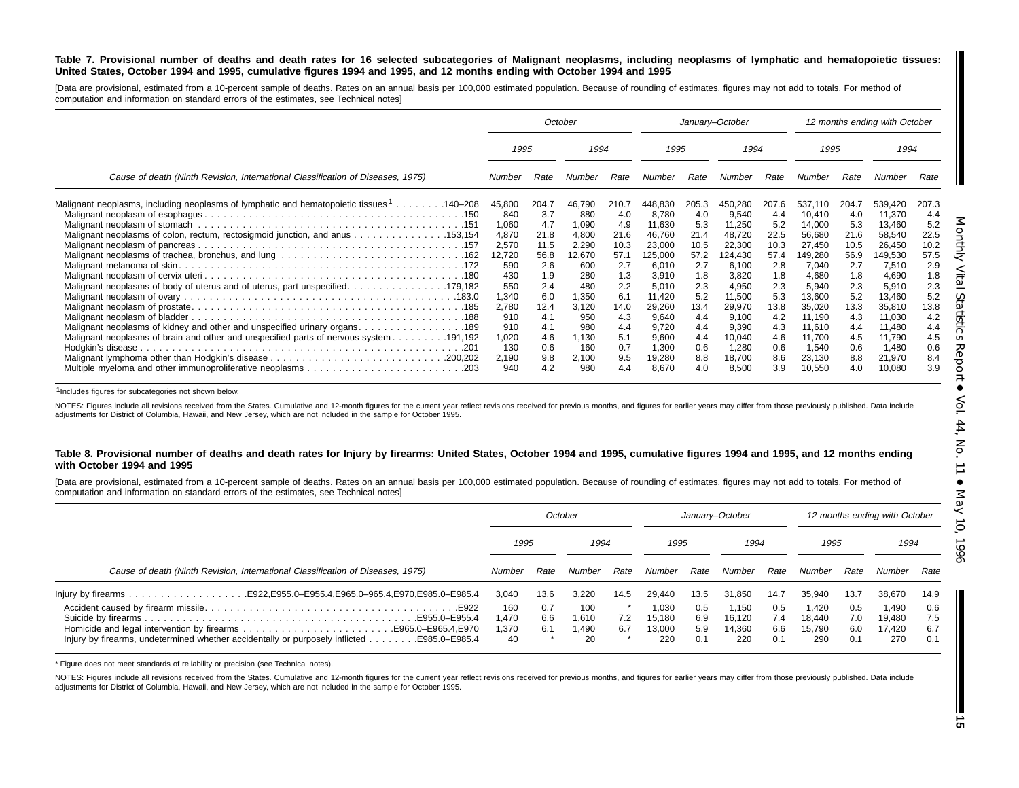#### Table 7. Provisional number of deaths and death rates for 16 selected subcategories of Malignant neoplasms, including neoplasms of lymphatic and hematopoietic tissues: United States, October 1994 and 1995, cumulative figures 1994 and 1995, and 12 months ending with October 1994 and 1995

[Data are provisional, estimated from a 10-percent sample of deaths. Rates on an annual basis per 100,000 estimated population. Because of rounding of estimates, figures may not add to totals. For method of computation and information on standard errors of the estimates, see Technical notes]

|                                                                                                      |        |       | October |       | January-October |       |         |       |         |       | 12 months ending with October |       |
|------------------------------------------------------------------------------------------------------|--------|-------|---------|-------|-----------------|-------|---------|-------|---------|-------|-------------------------------|-------|
|                                                                                                      | 1995   |       | 1994    |       | 1995            |       | 1994    |       | 1995    |       | 1994                          |       |
| Cause of death (Ninth Revision, International Classification of Diseases, 1975)                      | Number | Rate  | Number  | Rate  | Number          | Rate  | Number  | Rate  | Number  | Rate  | Number                        | Rate  |
| Malignant neoplasms, including neoplasms of lymphatic and hematopoietic tissues <sup>1</sup> 140–208 | 45,800 | 204.7 | 46,790  | 210.7 | 448,830         | 205.3 | 450,280 | 207.6 | 537.110 | 204.7 | 539,420                       | 207.3 |
|                                                                                                      | 840    | 3.7   | 880     | 4.0   | 8,780           | 4.0   | 9,540   | 4.4   | 10,410  | 4.0   | 11,370                        | 4.4   |
|                                                                                                      | 1.060  | 4.7   | 1,090   | 4.9   | 11,630          | 5.3   | 11,250  | 5.2   | 14,000  | 5.3   | 13,460                        | 5.2   |
| Malignant neoplasms of colon, rectum, rectosigmoid junction, and anus 153,154                        | 4,870  | 21.8  | 4,800   | 21.6  | 46,760          | 21.4  | 48,720  | 22.5  | 56,680  | 21.6  | 58,540                        | 22.5  |
|                                                                                                      | 2,570  | 11.5  | 2,290   | 10.3  | 23,000          | 10.5  | 22,300  | 10.3  | 27,450  | 10.5  | 26,450                        | 10.2  |
|                                                                                                      | 12,720 | 56.8  | 12,670  | 57.1  | 125,000         | 57.2  | 124.430 | 57.4  | 149,280 | 56.9  | 149,530                       | 57.5  |
|                                                                                                      | 590    | 2.6   | 600     | 2.7   | 6,010           | 2.7   | 6,100   | 2.8   | 7,040   | 2.7   | 7,510                         | 2.9   |
|                                                                                                      | 430    | 1.9   | 280     | 1.3   | 3,910           | 1.8   | 3,820   | 1.8   | 4,680   | 1.8   | 4,690                         | 1.8   |
| Malignant neoplasms of body of uterus and of uterus, part unspecified. 179,182                       | 550    | 2.4   | 480     | 2.2   | 5,010           | 2.3   | 4,950   | 2.3   | 5,940   | 2.3   | 5,910                         | 2.3   |
|                                                                                                      | 1,340  | 6.0   | 1,350   | 6.1   | 11,420          | 5.2   | 11,500  | 5.3   | 13,600  | 5.2   | 13,460                        | 5.2   |
|                                                                                                      | 2,780  | 12.4  | 3,120   | 14.0  | 29,260          | 13.4  | 29,970  | 13.8  | 35,020  | 13.3  | 35,810                        | 13.8  |
|                                                                                                      | 910    | 4.1   | 950     | 4.3   | 9,640           | 4.4   | 9,100   | 4.2   | 11,190  | 4.3   | 11,030                        | 4.2   |
| 189. 189. Malignant neoplasms of kidney and other and unspecified urinary organs. 189                | 910    | 4.1   | 980     | 4.4   | 9,720           | 4.4   | 9,390   | 4.3   | 11,610  | 4.4   | 11,480                        | 4.4   |
|                                                                                                      | 1,020  | 4.6   | 1,130   | 5.1   | 9,600           | 4.4   | 10,040  | 4.6   | 11,700  | 4.5   | 11,790                        | 4.5   |
|                                                                                                      | 130    | 0.6   | 160     | 0.7   | 1,300           | 0.6   | 1,280   | 0.6   | 1,540   | 0.6   | 1,480                         | 0.6   |
|                                                                                                      | 2,190  | 9.8   | 2,100   | 9.5   | 19,280          | 8.8   | 18,700  | 8.6   | 23,130  | 8.8   | 21,970                        | 8.4   |
|                                                                                                      | 940    | 4.2   | 980     | 4.4   | 8,670           | 4.0   | 8,500   | 3.9   | 10,550  | 4.0   | 10,080                        | 3.9   |

1Includes figures for subcategories not shown below.

NOTES: Figures include all revisions received from the States. Cumulative and 12-month figures for the current year reflect revisions received for previous months, and figures for earlier years may differ from those previo adjustments for District of Columbia, Hawaii, and New Jersey, which are not included in the sample for October 1995.

#### Table 8. Provisional number of deaths and death rates for Injury by firearms: United States, October 1994 and 1995, cumulative figures 1994 and 1995, and 12 months ending **with October 1994 and 1995**

[Data are provisional, estimated from a 10-percent sample of deaths. Rates on an annual basis per 100,000 estimated population. Because of rounding of estimates, figures may not add to totals. For method of computation and information on standard errors of the estimates, see Technical notes]

|                                                                                                                         |                             | October           |                             |            | Januarv-October                  |                          |                                  |                          | 12 months ending with October    |                          |                                  |                          |
|-------------------------------------------------------------------------------------------------------------------------|-----------------------------|-------------------|-----------------------------|------------|----------------------------------|--------------------------|----------------------------------|--------------------------|----------------------------------|--------------------------|----------------------------------|--------------------------|
|                                                                                                                         | 1995                        |                   | 1994                        |            | 1995                             |                          | 1994                             |                          | 1995                             |                          | 1994                             |                          |
| Cause of death (Ninth Revision, International Classification of Diseases, 1975)                                         | Number                      | Rate              | Number                      | Rate       | Number                           | Rate                     | Number                           | Rate                     | Number                           | Rate                     | Number                           | Rate                     |
|                                                                                                                         | 3,040                       | 13.6              | 3.220                       | 14.5       | 29.440                           | 13.5                     | 31.850                           | 14.7                     | 35.940                           | 13.7                     | 38,670                           | 14.9                     |
| E922.<br>E955.0-E955.4<br>lnjury by firearms, undetermined whether accidentally or purposely inflicted<br>E985.0-E985.4 | 160<br>1.470<br>1,370<br>40 | 0.7<br>6.6<br>6.1 | 100<br>1.610<br>l.490<br>20 | 7.2<br>6.7 | 1.030<br>15.180<br>13.000<br>220 | 0.5<br>6.9<br>5.9<br>0.1 | 1.150<br>16.120<br>14,360<br>220 | 0.5<br>7.4<br>6.6<br>0.1 | 1.420<br>18.440<br>15,790<br>290 | 0.5<br>7.0<br>6.0<br>0.1 | 1,490<br>19,480<br>17.420<br>270 | 0.6<br>7.5<br>6.7<br>0.1 |

\* Figure does not meet standards of reliability or precision (see Technical notes).

NOTES: Figures include all revisions received from the States. Cumulative and 12-month figures for the current year reflect revisions received for previous months, and figures for earlier years may differ from those previo adjustments for District of Columbia, Hawaii, and New Jersey, which are not included in the sample for October 1995.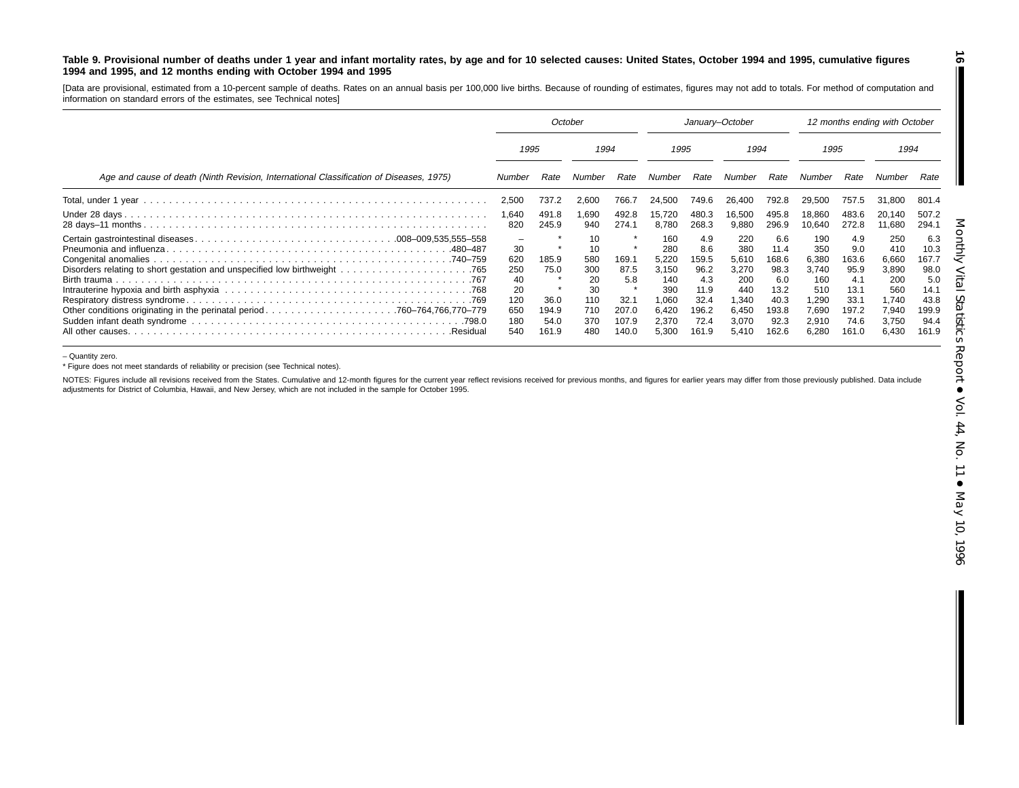#### Table 9. Provisional number of deaths under 1 year and infant mortality rates, by age and for 10 selected causes: United States, October 1994 and 1995, cumulative figures **1994 and 1995, and 12 months ending with October 1994 and 1995**

[Data are provisional, estimated from <sup>a</sup> 10-percent sample of deaths. Rates on an annual basis per 100,000 live births. Because of rounding of estimates, figures may not add to totals. For method of computation and information on standard errors of the estimates, see Technical notes]

|                                                                                         | October                                                                |                                |                                                  | January-October                       |                                                              |                                                             |                                                              | 12 months ending with October                                |                                                              |                                                             |                                                              |                                                              |
|-----------------------------------------------------------------------------------------|------------------------------------------------------------------------|--------------------------------|--------------------------------------------------|---------------------------------------|--------------------------------------------------------------|-------------------------------------------------------------|--------------------------------------------------------------|--------------------------------------------------------------|--------------------------------------------------------------|-------------------------------------------------------------|--------------------------------------------------------------|--------------------------------------------------------------|
|                                                                                         | 1995                                                                   |                                | 1994                                             |                                       | 1995                                                         |                                                             | 1994                                                         |                                                              | 1995                                                         |                                                             | 1994                                                         |                                                              |
| Age and cause of death (Ninth Revision, International Classification of Diseases, 1975) | Number                                                                 | Rate                           | Number                                           | Rate                                  | Number                                                       | Rate                                                        | Number                                                       | Rate                                                         | Number                                                       | Rate                                                        | Number                                                       | Rate                                                         |
|                                                                                         | 2,500                                                                  | 737.2                          | 2,600                                            | 766.7                                 | 24.500                                                       | 749.6                                                       | 26.400                                                       | 792.8                                                        | 29.500                                                       | 757.5                                                       | 31.800                                                       | 801.4                                                        |
|                                                                                         | 1,640<br>820                                                           | 491.8<br>245.9                 | .690<br>940                                      | 492.8<br>274.1                        | 15.720<br>8.780                                              | 480.3<br>268.3                                              | 16.500<br>9,880                                              | 495.8<br>296.9                                               | 18.860<br>10,640                                             | 483.6<br>272.8                                              | 20,140<br>11,680                                             | 507.2<br>294.1                                               |
| .480–487                                                                                | $\overline{\phantom{0}}$<br>30<br>620<br>250<br>40<br>20<br>120<br>650 | 185.9<br>75.0<br>36.0<br>194.9 | 10<br>10<br>580<br>300<br>20<br>30<br>110<br>710 | 169.1<br>87.5<br>5.8<br>32.1<br>207.0 | 160<br>280<br>5,220<br>3,150<br>140<br>390<br>1,060<br>6,420 | 4.9<br>8.6<br>159.5<br>96.2<br>4.3<br>11.9<br>32.4<br>196.2 | 220<br>380<br>5,610<br>3,270<br>200<br>440<br>1.340<br>6,450 | 6.6<br>11.4<br>168.6<br>98.3<br>6.0<br>13.2<br>40.3<br>193.8 | 190<br>350<br>6,380<br>3,740<br>160<br>510<br>1,290<br>7,690 | 4.9<br>9.0<br>163.6<br>95.9<br>4.1<br>13.1<br>33.1<br>197.2 | 250<br>410<br>6,660<br>3,890<br>200<br>560<br>1.740<br>7,940 | 6.3<br>10.3<br>167.7<br>98.0<br>5.0<br>14.1<br>43.8<br>199.9 |
| .Residual                                                                               | 180<br>540                                                             | 54.0<br>161.9                  | 370<br>480                                       | 107.9<br>140.0                        | 2,370<br>5,300                                               | 72.4<br>161.9                                               | 3.070<br>5.410                                               | 92.3<br>162.6                                                | 2,910<br>6,280                                               | 74.6<br>161.0                                               | 3,750<br>6,430                                               | 94.4<br>161.9                                                |

– Quantity zero.

\* Figure does not meet standards of reliability or precision (see Technical notes).

NOTES: Figures include all revisions received from the States. Cumulative and 12-month figures for the current year reflect revisions received for previous months, and figures for earlier years may differ from those previo adjustments for District of Columbia, Hawaii, and New Jersey, which are not included in the sample for October 1995.

**16**

П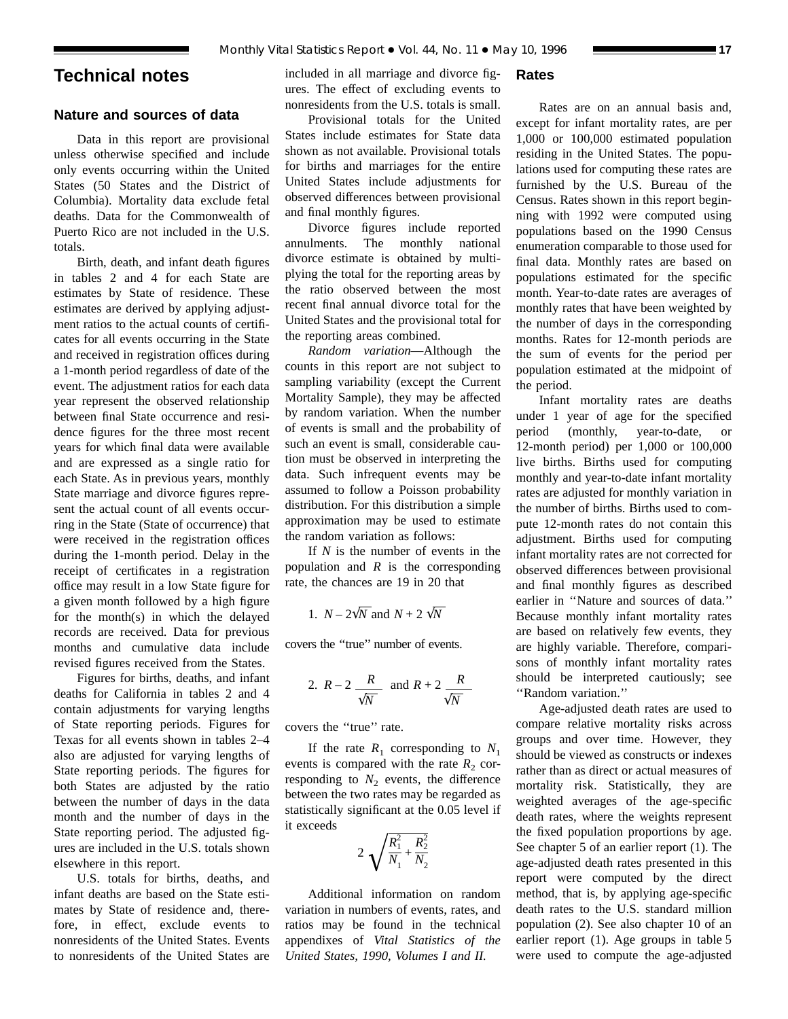# **Technical notes**

# **Nature and sources of data**

Data in this report are provisional unless otherwise specified and include only events occurring within the United States (50 States and the District of Columbia). Mortality data exclude fetal deaths. Data for the Commonwealth of Puerto Rico are not included in the U.S. totals.

Birth, death, and infant death figures in tables 2 and 4 for each State are estimates by State of residence. These estimates are derived by applying adjustment ratios to the actual counts of certificates for all events occurring in the State and received in registration offices during a 1-month period regardless of date of the event. The adjustment ratios for each data year represent the observed relationship between final State occurrence and residence figures for the three most recent years for which final data were available and are expressed as a single ratio for each State. As in previous years, monthly State marriage and divorce figures represent the actual count of all events occurring in the State (State of occurrence) that were received in the registration offices during the 1-month period. Delay in the receipt of certificates in a registration office may result in a low State figure for a given month followed by a high figure for the month(s) in which the delayed records are received. Data for previous months and cumulative data include revised figures received from the States.

Figures for births, deaths, and infant deaths for California in tables 2 and 4 contain adjustments for varying lengths of State reporting periods. Figures for Texas for all events shown in tables 2–4 also are adjusted for varying lengths of State reporting periods. The figures for both States are adjusted by the ratio between the number of days in the data month and the number of days in the State reporting period. The adjusted figures are included in the U.S. totals shown elsewhere in this report.

U.S. totals for births, deaths, and infant deaths are based on the State estimates by State of residence and, therefore, in effect, exclude events to nonresidents of the United States. Events to nonresidents of the United States are included in all marriage and divorce figures. The effect of excluding events to nonresidents from the U.S. totals is small.

# Provisional totals for the United States include estimates for State data shown as not available. Provisional totals for births and marriages for the entire United States include adjustments for observed differences between provisional and final monthly figures.

Divorce figures include reported annulments. The monthly national divorce estimate is obtained by multiplying the total for the reporting areas by the ratio observed between the most recent final annual divorce total for the United States and the provisional total for the reporting areas combined.

*Random variation*—Although the counts in this report are not subject to sampling variability (except the Current Mortality Sample), they may be affected by random variation. When the number of events is small and the probability of such an event is small, considerable caution must be observed in interpreting the data. Such infrequent events may be assumed to follow a Poisson probability distribution. For this distribution a simple approximation may be used to estimate the random variation as follows:

If *N* is the number of events in the population and *R* is the corresponding rate, the chances are 19 in 20 that

1. 
$$
N - 2\sqrt{N}
$$
 and  $N + 2\sqrt{N}$ 

covers the ''true'' number of events.

2. 
$$
R-2
$$
  $\frac{R}{\sqrt{N}}$  and  $R+2$   $\frac{R}{\sqrt{N}}$ 

covers the ''true'' rate.

If the rate  $R_1$  corresponding to  $N_1$ events is compared with the rate  $R_2$  corresponding to  $N_2$  events, the difference between the two rates may be regarded as statistically significant at the 0.05 level if it exceeds

$$
2\sqrt{\frac{R_1^2}{N_1} + \frac{R_2^2}{N_2}}
$$

Additional information on random variation in numbers of events, rates, and ratios may be found in the technical appendixes of *Vital Statistics of the United States, 1990, Volumes I and II.*

# **Rates**

Rates are on an annual basis and, except for infant mortality rates, are per 1,000 or 100,000 estimated population residing in the United States. The populations used for computing these rates are furnished by the U.S. Bureau of the Census. Rates shown in this report beginning with 1992 were computed using populations based on the 1990 Census enumeration comparable to those used for final data. Monthly rates are based on populations estimated for the specific month. Year-to-date rates are averages of monthly rates that have been weighted by the number of days in the corresponding months. Rates for 12-month periods are the sum of events for the period per population estimated at the midpoint of the period.

Infant mortality rates are deaths under 1 year of age for the specified period (monthly, year-to-date, or 12-month period) per 1,000 or 100,000 live births. Births used for computing monthly and year-to-date infant mortality rates are adjusted for monthly variation in the number of births. Births used to compute 12-month rates do not contain this adjustment. Births used for computing infant mortality rates are not corrected for observed differences between provisional and final monthly figures as described earlier in ''Nature and sources of data.'' Because monthly infant mortality rates are based on relatively few events, they are highly variable. Therefore, comparisons of monthly infant mortality rates should be interpreted cautiously; see ''Random variation.''

Age-adjusted death rates are used to compare relative mortality risks across groups and over time. However, they should be viewed as constructs or indexes rather than as direct or actual measures of mortality risk. Statistically, they are weighted averages of the age-specific death rates, where the weights represent the fixed population proportions by age. See chapter 5 of an earlier report (1). The age-adjusted death rates presented in this report were computed by the direct method, that is, by applying age-specific death rates to the U.S. standard million population (2). See also chapter 10 of an earlier report (1). Age groups in table 5 were used to compute the age-adjusted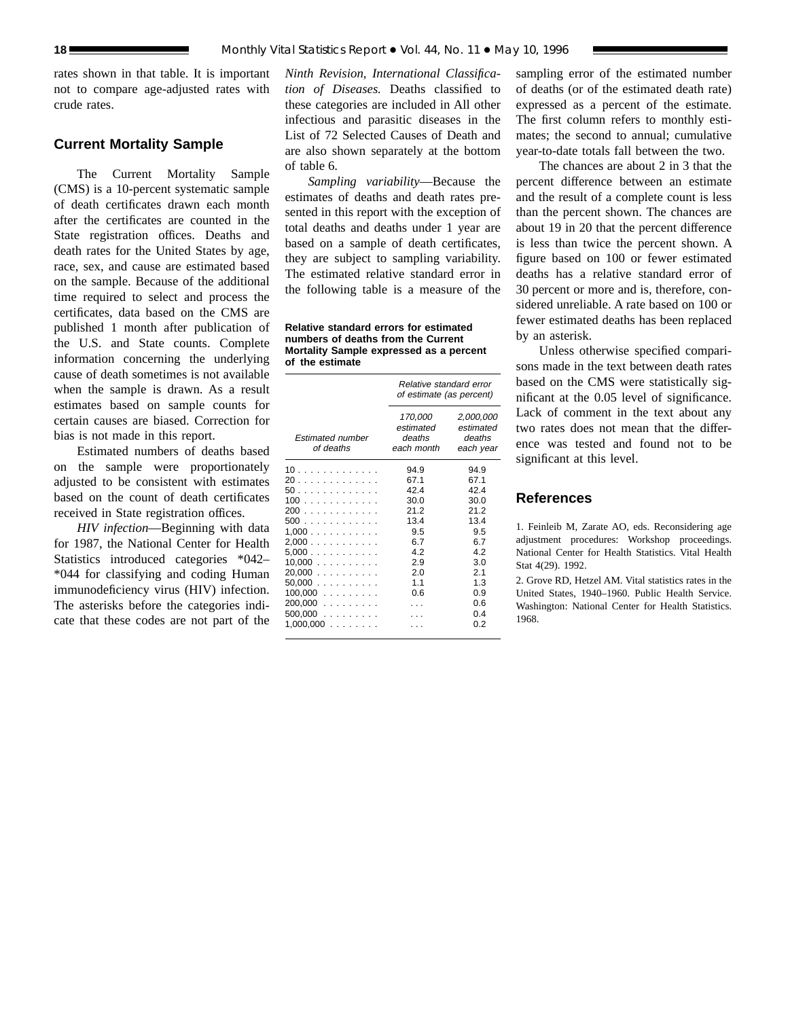rates shown in that table. It is important not to compare age-adjusted rates with crude rates.

# **Current Mortality Sample**

The Current Mortality Sample (CMS) is a 10-percent systematic sample of death certificates drawn each month after the certificates are counted in the State registration offices. Deaths and death rates for the United States by age, race, sex, and cause are estimated based on the sample. Because of the additional time required to select and process the certificates, data based on the CMS are published 1 month after publication of the U.S. and State counts. Complete information concerning the underlying cause of death sometimes is not available when the sample is drawn. As a result estimates based on sample counts for certain causes are biased. Correction for bias is not made in this report.

Estimated numbers of deaths based on the sample were proportionately adjusted to be consistent with estimates based on the count of death certificates received in State registration offices.

*HIV infection*—Beginning with data for 1987, the National Center for Health Statistics introduced categories \*042– \*044 for classifying and coding Human immunodeficiency virus (HIV) infection. The asterisks before the categories indicate that these codes are not part of the

*Ninth Revision, International Classification of Diseases.* Deaths classified to these categories are included in All other infectious and parasitic diseases in the List of 72 Selected Causes of Death and are also shown separately at the bottom of table 6.

*Sampling variability*—Because the estimates of deaths and death rates presented in this report with the exception of total deaths and deaths under 1 year are based on a sample of death certificates, they are subject to sampling variability. The estimated relative standard error in the following table is a measure of the

**Relative standard errors for estimated numbers of deaths from the Current Mortality Sample expressed as a percent of the estimate**

|                                                                                                                 | Relative standard error<br>of estimate (as percent)                                         |                                                                                                  |  |  |
|-----------------------------------------------------------------------------------------------------------------|---------------------------------------------------------------------------------------------|--------------------------------------------------------------------------------------------------|--|--|
| <b>Estimated number</b><br>of deaths                                                                            | 170,000<br>estimated<br>deaths<br>each month                                                | 2,000,000<br>estimated<br>deaths<br>each year                                                    |  |  |
| 10.<br>20<br>50.<br>100<br>200<br>500<br>1.000<br>2,000<br>5.000<br>$10,000$<br>$20,000$<br>50,000<br>$100,000$ | 94.9<br>67.1<br>42.4<br>30.0<br>212<br>13.4<br>9.5<br>6.7<br>42<br>2.9<br>2.0<br>1.1<br>0.6 | 94.9<br>67.1<br>424<br>30.0<br>212<br>13.4<br>9.5<br>67<br>42<br>3.0<br>2.1<br>1.3<br>0.9<br>0.6 |  |  |
| $200,000$<br>$500,000$<br>1,000,000<br>.                                                                        |                                                                                             | 04<br>0 2                                                                                        |  |  |

sampling error of the estimated number of deaths (or of the estimated death rate) expressed as a percent of the estimate. The first column refers to monthly estimates; the second to annual; cumulative year-to-date totals fall between the two.

The chances are about 2 in 3 that the percent difference between an estimate and the result of a complete count is less than the percent shown. The chances are about 19 in 20 that the percent difference is less than twice the percent shown. A figure based on 100 or fewer estimated deaths has a relative standard error of 30 percent or more and is, therefore, considered unreliable. A rate based on 100 or fewer estimated deaths has been replaced by an asterisk.

Unless otherwise specified comparisons made in the text between death rates based on the CMS were statistically significant at the 0.05 level of significance. Lack of comment in the text about any two rates does not mean that the difference was tested and found not to be significant at this level.

# **References**

1. Feinleib M, Zarate AO, eds. Reconsidering age adjustment procedures: Workshop proceedings. National Center for Health Statistics. Vital Health Stat 4(29). 1992.

2. Grove RD, Hetzel AM. Vital statistics rates in the United States, 1940–1960. Public Health Service. Washington: National Center for Health Statistics. 1968.